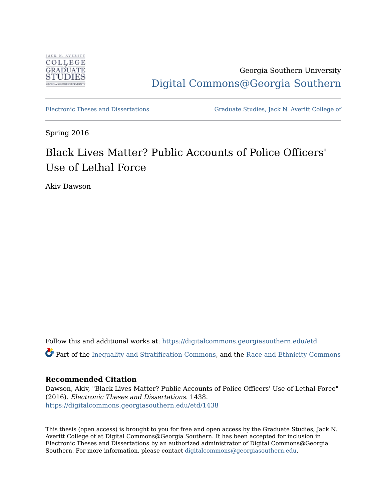

Georgia Southern University [Digital Commons@Georgia Southern](https://digitalcommons.georgiasouthern.edu/) 

[Electronic Theses and Dissertations](https://digitalcommons.georgiasouthern.edu/etd) [Graduate Studies, Jack N. Averitt College of](https://digitalcommons.georgiasouthern.edu/cogs) 

Spring 2016

# Black Lives Matter? Public Accounts of Police Officers' Use of Lethal Force

Akiv Dawson

Follow this and additional works at: [https://digitalcommons.georgiasouthern.edu/etd](https://digitalcommons.georgiasouthern.edu/etd?utm_source=digitalcommons.georgiasouthern.edu%2Fetd%2F1438&utm_medium=PDF&utm_campaign=PDFCoverPages)  Part of the [Inequality and Stratification Commons,](http://network.bepress.com/hgg/discipline/421?utm_source=digitalcommons.georgiasouthern.edu%2Fetd%2F1438&utm_medium=PDF&utm_campaign=PDFCoverPages) and the [Race and Ethnicity Commons](http://network.bepress.com/hgg/discipline/426?utm_source=digitalcommons.georgiasouthern.edu%2Fetd%2F1438&utm_medium=PDF&utm_campaign=PDFCoverPages)

### **Recommended Citation**

Dawson, Akiv, "Black Lives Matter? Public Accounts of Police Officers' Use of Lethal Force" (2016). Electronic Theses and Dissertations. 1438. [https://digitalcommons.georgiasouthern.edu/etd/1438](https://digitalcommons.georgiasouthern.edu/etd/1438?utm_source=digitalcommons.georgiasouthern.edu%2Fetd%2F1438&utm_medium=PDF&utm_campaign=PDFCoverPages) 

This thesis (open access) is brought to you for free and open access by the Graduate Studies, Jack N. Averitt College of at Digital Commons@Georgia Southern. It has been accepted for inclusion in Electronic Theses and Dissertations by an authorized administrator of Digital Commons@Georgia Southern. For more information, please contact [digitalcommons@georgiasouthern.edu](mailto:digitalcommons@georgiasouthern.edu).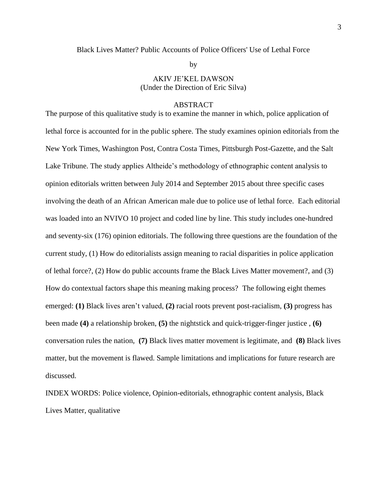# Black Lives Matter? Public Accounts of Police Officers' Use of Lethal Force

by

# AKIV JE'KEL DAWSON (Under the Direction of Eric Silva)

#### ABSTRACT

The purpose of this qualitative study is to examine the manner in which, police application of lethal force is accounted for in the public sphere. The study examines opinion editorials from the New York Times, Washington Post, Contra Costa Times, Pittsburgh Post-Gazette, and the Salt Lake Tribune. The study applies Altheide's methodology of ethnographic content analysis to opinion editorials written between July 2014 and September 2015 about three specific cases involving the death of an African American male due to police use of lethal force. Each editorial was loaded into an NVIVO 10 project and coded line by line. This study includes one-hundred and seventy-six (176) opinion editorials. The following three questions are the foundation of the current study, (1) How do editorialists assign meaning to racial disparities in police application of lethal force?, (2) How do public accounts frame the Black Lives Matter movement?, and (3) How do contextual factors shape this meaning making process? The following eight themes emerged: **(1)** Black lives aren't valued, **(2)** racial roots prevent post-racialism, **(3)** progress has been made **(4)** a relationship broken, **(5)** the nightstick and quick-trigger-finger justice , **(6)** conversation rules the nation, **(7)** Black lives matter movement is legitimate, and **(8)** Black lives matter, but the movement is flawed. Sample limitations and implications for future research are discussed.

INDEX WORDS: Police violence, Opinion-editorials, ethnographic content analysis, Black Lives Matter, qualitative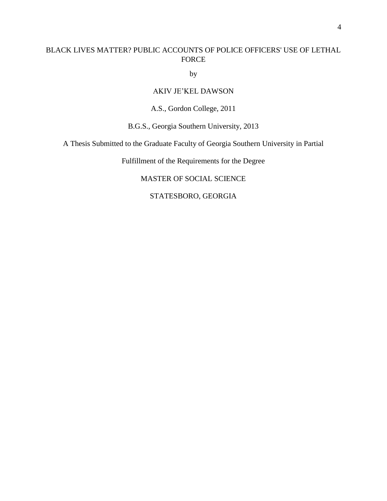# BLACK LIVES MATTER? PUBLIC ACCOUNTS OF POLICE OFFICERS' USE OF LETHAL FORCE

by

# AKIV JE'KEL DAWSON

# A.S., Gordon College, 2011

B.G.S., Georgia Southern University, 2013

A Thesis Submitted to the Graduate Faculty of Georgia Southern University in Partial

Fulfillment of the Requirements for the Degree

# MASTER OF SOCIAL SCIENCE

# STATESBORO, GEORGIA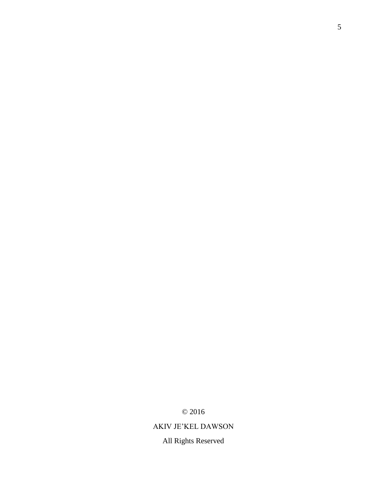© 2016

# AKIV JE'KEL DAWSON

All Rights Reserved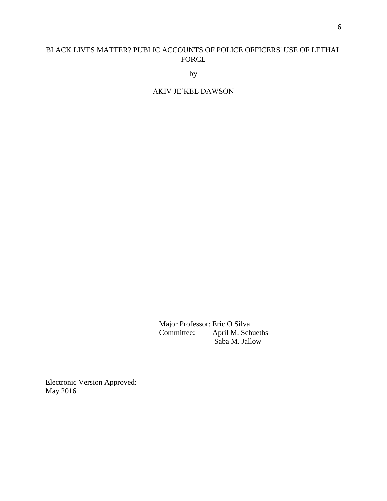# BLACK LIVES MATTER? PUBLIC ACCOUNTS OF POLICE OFFICERS' USE OF LETHAL FORCE

by

# AKIV JE'KEL DAWSON

Major Professor: Eric O Silva Committee: April M. Schueths Saba M. Jallow

Electronic Version Approved: May 2016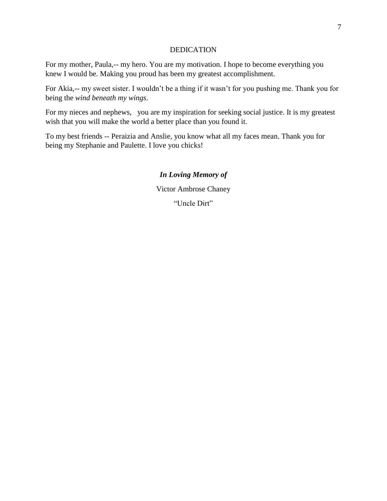# DEDICATION

For my mother, Paula,-- my hero. You are my motivation. I hope to become everything you knew I would be. Making you proud has been my greatest accomplishment.

For Akia,-- my sweet sister. I wouldn't be a thing if it wasn't for you pushing me. Thank you for being the *wind beneath my wings*.

For my nieces and nephews, you are my inspiration for seeking social justice. It is my greatest wish that you will make the world a better place than you found it.

To my best friends -- Peraizia and Anslie, you know what all my faces mean. Thank you for being my Stephanie and Paulette. I love you chicks!

# *In Loving Memory of*

Victor Ambrose Chaney

"Uncle Dirt"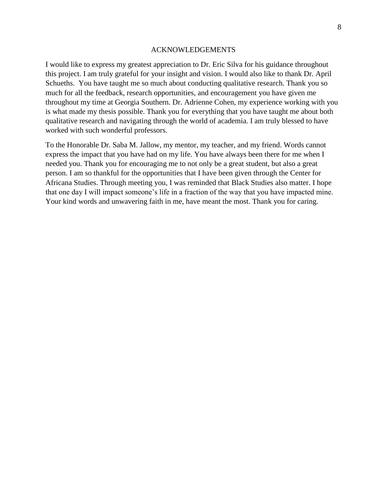#### ACKNOWLEDGEMENTS

I would like to express my greatest appreciation to Dr. Eric Silva for his guidance throughout this project. I am truly grateful for your insight and vision. I would also like to thank Dr. April Schueths. You have taught me so much about conducting qualitative research. Thank you so much for all the feedback, research opportunities, and encouragement you have given me throughout my time at Georgia Southern. Dr. Adrienne Cohen, my experience working with you is what made my thesis possible. Thank you for everything that you have taught me about both qualitative research and navigating through the world of academia. I am truly blessed to have worked with such wonderful professors.

To the Honorable Dr. Saba M. Jallow, my mentor, my teacher, and my friend. Words cannot express the impact that you have had on my life. You have always been there for me when I needed you. Thank you for encouraging me to not only be a great student, but also a great person. I am so thankful for the opportunities that I have been given through the Center for Africana Studies. Through meeting you, I was reminded that Black Studies also matter. I hope that one day I will impact someone's life in a fraction of the way that you have impacted mine. Your kind words and unwavering faith in me, have meant the most. Thank you for caring.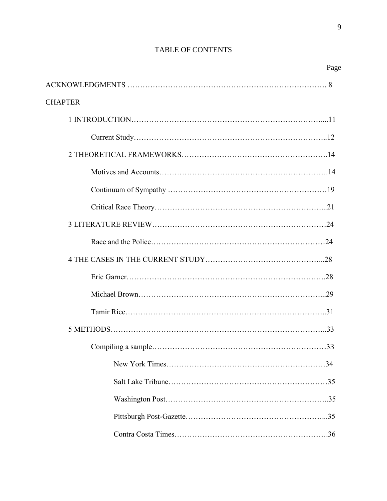# TABLE OF CONTENTS

| Page           |  |
|----------------|--|
|                |  |
| <b>CHAPTER</b> |  |
|                |  |
|                |  |
|                |  |
|                |  |
|                |  |
|                |  |
|                |  |
|                |  |
|                |  |
|                |  |
|                |  |
|                |  |
|                |  |
| 33             |  |
|                |  |
|                |  |
|                |  |
|                |  |
|                |  |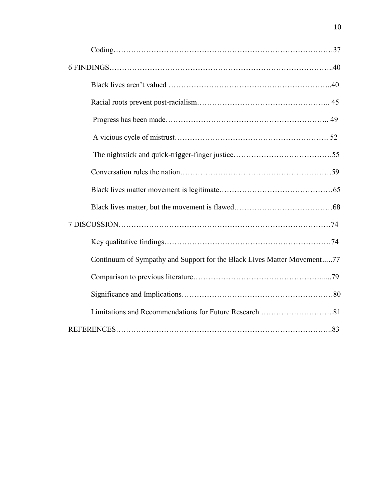| Continuum of Sympathy and Support for the Black Lives Matter Movement77 |  |
|-------------------------------------------------------------------------|--|
|                                                                         |  |
|                                                                         |  |
|                                                                         |  |
|                                                                         |  |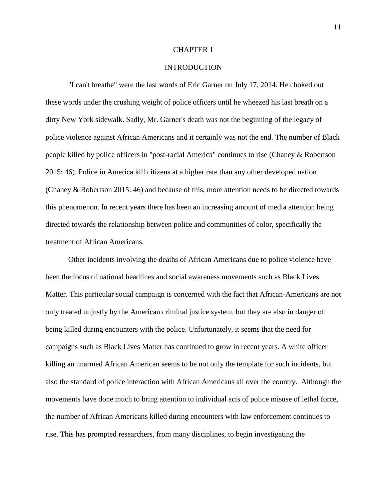#### CHAPTER 1

#### **INTRODUCTION**

"I can't breathe" were the last words of Eric Garner on July 17, 2014. He choked out these words under the crushing weight of police officers until he wheezed his last breath on a dirty New York sidewalk. Sadly, Mr. Garner's death was not the beginning of the legacy of police violence against African Americans and it certainly was not the end. The number of Black people killed by police officers in "post-racial America" continues to rise (Chaney & Robertson 2015: 46). Police in America kill citizens at a higher rate than any other developed nation (Chaney & Robertson 2015: 46) and because of this, more attention needs to be directed towards this phenomenon. In recent years there has been an increasing amount of media attention being directed towards the relationship between police and communities of color, specifically the treatment of African Americans.

Other incidents involving the deaths of African Americans due to police violence have been the focus of national headlines and social awareness movements such as Black Lives Matter. This particular social campaign is concerned with the fact that African-Americans are not only treated unjustly by the American criminal justice system, but they are also in danger of being killed during encounters with the police. Unfortunately, it seems that the need for campaigns such as Black Lives Matter has continued to grow in recent years. A white officer killing an unarmed African American seems to be not only the template for such incidents, but also the standard of police interaction with African Americans all over the country. Although the movements have done much to bring attention to individual acts of police misuse of lethal force, the number of African Americans killed during encounters with law enforcement continues to rise. This has prompted researchers, from many disciplines, to begin investigating the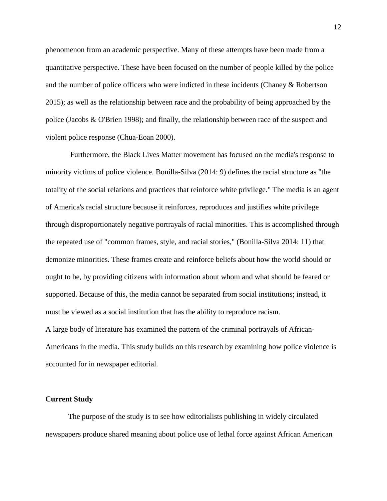phenomenon from an academic perspective. Many of these attempts have been made from a quantitative perspective. These have been focused on the number of people killed by the police and the number of police officers who were indicted in these incidents (Chaney & Robertson 2015); as well as the relationship between race and the probability of being approached by the police (Jacobs & O'Brien 1998); and finally, the relationship between race of the suspect and violent police response (Chua-Eoan 2000).

Furthermore, the Black Lives Matter movement has focused on the media's response to minority victims of police violence. Bonilla-Silva (2014: 9) defines the racial structure as "the totality of the social relations and practices that reinforce white privilege." The media is an agent of America's racial structure because it reinforces, reproduces and justifies white privilege through disproportionately negative portrayals of racial minorities. This is accomplished through the repeated use of "common frames, style, and racial stories," (Bonilla-Silva 2014: 11) that demonize minorities. These frames create and reinforce beliefs about how the world should or ought to be, by providing citizens with information about whom and what should be feared or supported. Because of this, the media cannot be separated from social institutions; instead, it must be viewed as a social institution that has the ability to reproduce racism. A large body of literature has examined the pattern of the criminal portrayals of African-Americans in the media. This study builds on this research by examining how police violence is accounted for in newspaper editorial.

#### **Current Study**

The purpose of the study is to see how editorialists publishing in widely circulated newspapers produce shared meaning about police use of lethal force against African American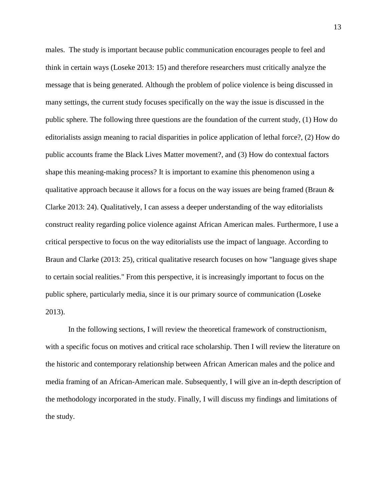males. The study is important because public communication encourages people to feel and think in certain ways (Loseke 2013: 15) and therefore researchers must critically analyze the message that is being generated. Although the problem of police violence is being discussed in many settings, the current study focuses specifically on the way the issue is discussed in the public sphere. The following three questions are the foundation of the current study, (1) How do editorialists assign meaning to racial disparities in police application of lethal force?, (2) How do public accounts frame the Black Lives Matter movement?, and (3) How do contextual factors shape this meaning-making process? It is important to examine this phenomenon using a qualitative approach because it allows for a focus on the way issues are being framed (Braun  $\&$ Clarke 2013: 24). Qualitatively, I can assess a deeper understanding of the way editorialists construct reality regarding police violence against African American males. Furthermore, I use a critical perspective to focus on the way editorialists use the impact of language. According to Braun and Clarke (2013: 25), critical qualitative research focuses on how "language gives shape to certain social realities." From this perspective, it is increasingly important to focus on the public sphere, particularly media, since it is our primary source of communication (Loseke 2013).

In the following sections, I will review the theoretical framework of constructionism, with a specific focus on motives and critical race scholarship. Then I will review the literature on the historic and contemporary relationship between African American males and the police and media framing of an African-American male. Subsequently, I will give an in-depth description of the methodology incorporated in the study. Finally, I will discuss my findings and limitations of the study.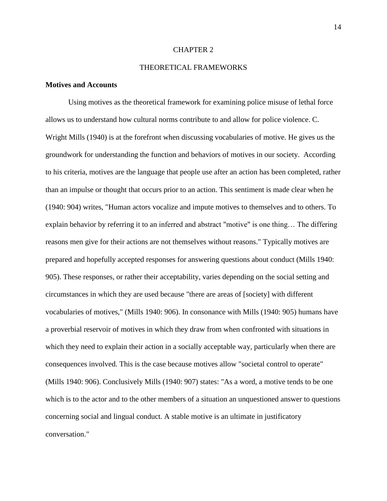#### CHAPTER 2

# THEORETICAL FRAMEWORKS

### **Motives and Accounts**

Using motives as the theoretical framework for examining police misuse of lethal force allows us to understand how cultural norms contribute to and allow for police violence. C. Wright Mills (1940) is at the forefront when discussing vocabularies of motive. He gives us the groundwork for understanding the function and behaviors of motives in our society. According to his criteria, motives are the language that people use after an action has been completed, rather than an impulse or thought that occurs prior to an action. This sentiment is made clear when he (1940: 904) writes, "Human actors vocalize and impute motives to themselves and to others. To explain behavior by referring it to an inferred and abstract "motive" is one thing… The differing reasons men give for their actions are not themselves without reasons." Typically motives are prepared and hopefully accepted responses for answering questions about conduct (Mills 1940: 905). These responses, or rather their acceptability, varies depending on the social setting and circumstances in which they are used because "there are areas of [society] with different vocabularies of motives," (Mills 1940: 906). In consonance with Mills (1940: 905) humans have a proverbial reservoir of motives in which they draw from when confronted with situations in which they need to explain their action in a socially acceptable way, particularly when there are consequences involved. This is the case because motives allow "societal control to operate" (Mills 1940: 906). Conclusively Mills (1940: 907) states: "As a word, a motive tends to be one which is to the actor and to the other members of a situation an unquestioned answer to questions concerning social and lingual conduct. A stable motive is an ultimate in justificatory conversation."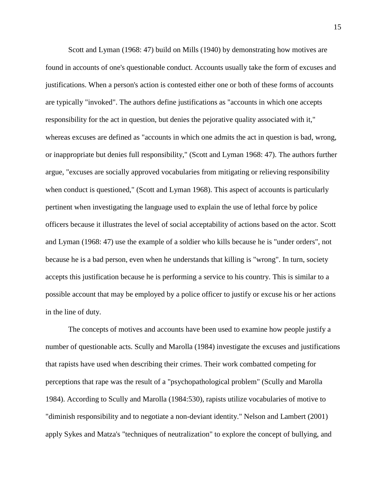Scott and Lyman (1968: 47) build on Mills (1940) by demonstrating how motives are found in accounts of one's questionable conduct. Accounts usually take the form of excuses and justifications. When a person's action is contested either one or both of these forms of accounts are typically "invoked". The authors define justifications as "accounts in which one accepts responsibility for the act in question, but denies the pejorative quality associated with it," whereas excuses are defined as "accounts in which one admits the act in question is bad, wrong, or inappropriate but denies full responsibility," (Scott and Lyman 1968: 47). The authors further argue, "excuses are socially approved vocabularies from mitigating or relieving responsibility when conduct is questioned," (Scott and Lyman 1968). This aspect of accounts is particularly pertinent when investigating the language used to explain the use of lethal force by police officers because it illustrates the level of social acceptability of actions based on the actor. Scott and Lyman (1968: 47) use the example of a soldier who kills because he is "under orders", not because he is a bad person, even when he understands that killing is "wrong". In turn, society accepts this justification because he is performing a service to his country. This is similar to a possible account that may be employed by a police officer to justify or excuse his or her actions in the line of duty.

The concepts of motives and accounts have been used to examine how people justify a number of questionable acts. Scully and Marolla (1984) investigate the excuses and justifications that rapists have used when describing their crimes. Their work combatted competing for perceptions that rape was the result of a "psychopathological problem" (Scully and Marolla 1984). According to Scully and Marolla (1984:530), rapists utilize vocabularies of motive to "diminish responsibility and to negotiate a non-deviant identity." Nelson and Lambert (2001) apply Sykes and Matza's "techniques of neutralization" to explore the concept of bullying, and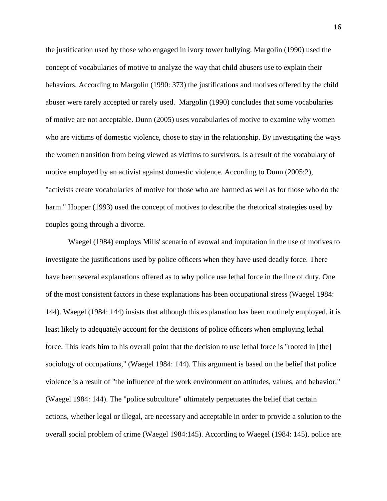the justification used by those who engaged in ivory tower bullying. Margolin (1990) used the concept of vocabularies of motive to analyze the way that child abusers use to explain their behaviors. According to Margolin (1990: 373) the justifications and motives offered by the child abuser were rarely accepted or rarely used. Margolin (1990) concludes that some vocabularies of motive are not acceptable. Dunn (2005) uses vocabularies of motive to examine why women who are victims of domestic violence, chose to stay in the relationship. By investigating the ways the women transition from being viewed as victims to survivors, is a result of the vocabulary of motive employed by an activist against domestic violence. According to Dunn (2005:2), "activists create vocabularies of motive for those who are harmed as well as for those who do the harm." Hopper (1993) used the concept of motives to describe the rhetorical strategies used by couples going through a divorce.

Waegel (1984) employs Mills' scenario of avowal and imputation in the use of motives to investigate the justifications used by police officers when they have used deadly force. There have been several explanations offered as to why police use lethal force in the line of duty. One of the most consistent factors in these explanations has been occupational stress (Waegel 1984: 144). Waegel (1984: 144) insists that although this explanation has been routinely employed, it is least likely to adequately account for the decisions of police officers when employing lethal force. This leads him to his overall point that the decision to use lethal force is "rooted in [the] sociology of occupations," (Waegel 1984: 144). This argument is based on the belief that police violence is a result of "the influence of the work environment on attitudes, values, and behavior," (Waegel 1984: 144). The "police subculture" ultimately perpetuates the belief that certain actions, whether legal or illegal, are necessary and acceptable in order to provide a solution to the overall social problem of crime (Waegel 1984:145). According to Waegel (1984: 145), police are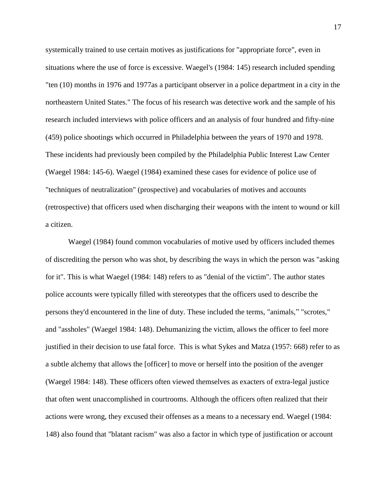systemically trained to use certain motives as justifications for "appropriate force", even in situations where the use of force is excessive. Waegel's (1984: 145) research included spending "ten (10) months in 1976 and 1977as a participant observer in a police department in a city in the northeastern United States." The focus of his research was detective work and the sample of his research included interviews with police officers and an analysis of four hundred and fifty-nine (459) police shootings which occurred in Philadelphia between the years of 1970 and 1978. These incidents had previously been compiled by the Philadelphia Public Interest Law Center (Waegel 1984: 145-6). Waegel (1984) examined these cases for evidence of police use of "techniques of neutralization" (prospective) and vocabularies of motives and accounts (retrospective) that officers used when discharging their weapons with the intent to wound or kill a citizen.

Waegel (1984) found common vocabularies of motive used by officers included themes of discrediting the person who was shot, by describing the ways in which the person was "asking for it". This is what Waegel (1984: 148) refers to as "denial of the victim". The author states police accounts were typically filled with stereotypes that the officers used to describe the persons they'd encountered in the line of duty. These included the terms, "animals," "scrotes," and "assholes" (Waegel 1984: 148). Dehumanizing the victim, allows the officer to feel more justified in their decision to use fatal force. This is what Sykes and Matza (1957: 668) refer to as a subtle alchemy that allows the [officer] to move or herself into the position of the avenger (Waegel 1984: 148). These officers often viewed themselves as exacters of extra-legal justice that often went unaccomplished in courtrooms. Although the officers often realized that their actions were wrong, they excused their offenses as a means to a necessary end. Waegel (1984: 148) also found that "blatant racism" was also a factor in which type of justification or account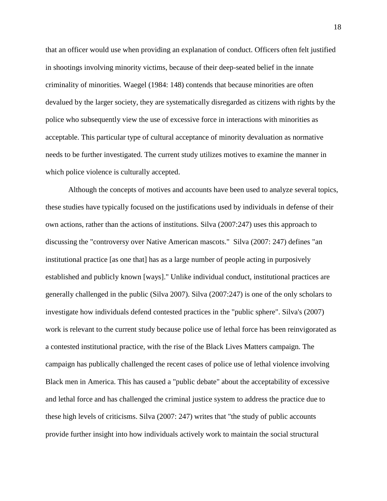that an officer would use when providing an explanation of conduct. Officers often felt justified in shootings involving minority victims, because of their deep-seated belief in the innate criminality of minorities. Waegel (1984: 148) contends that because minorities are often devalued by the larger society, they are systematically disregarded as citizens with rights by the police who subsequently view the use of excessive force in interactions with minorities as acceptable. This particular type of cultural acceptance of minority devaluation as normative needs to be further investigated. The current study utilizes motives to examine the manner in which police violence is culturally accepted.

Although the concepts of motives and accounts have been used to analyze several topics, these studies have typically focused on the justifications used by individuals in defense of their own actions, rather than the actions of institutions. Silva (2007:247) uses this approach to discussing the "controversy over Native American mascots." Silva (2007: 247) defines "an institutional practice [as one that] has as a large number of people acting in purposively established and publicly known [ways]." Unlike individual conduct, institutional practices are generally challenged in the public (Silva 2007). Silva (2007:247) is one of the only scholars to investigate how individuals defend contested practices in the "public sphere". Silva's (2007) work is relevant to the current study because police use of lethal force has been reinvigorated as a contested institutional practice, with the rise of the Black Lives Matters campaign. The campaign has publically challenged the recent cases of police use of lethal violence involving Black men in America. This has caused a "public debate" about the acceptability of excessive and lethal force and has challenged the criminal justice system to address the practice due to these high levels of criticisms. Silva (2007: 247) writes that "the study of public accounts provide further insight into how individuals actively work to maintain the social structural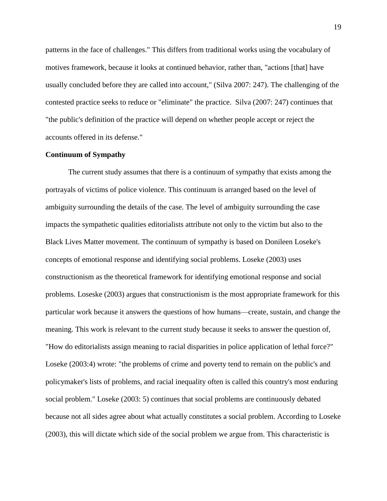patterns in the face of challenges." This differs from traditional works using the vocabulary of motives framework, because it looks at continued behavior, rather than, "actions [that] have usually concluded before they are called into account," (Silva 2007: 247). The challenging of the contested practice seeks to reduce or "eliminate" the practice. Silva (2007: 247) continues that "the public's definition of the practice will depend on whether people accept or reject the accounts offered in its defense."

#### **Continuum of Sympathy**

The current study assumes that there is a continuum of sympathy that exists among the portrayals of victims of police violence. This continuum is arranged based on the level of ambiguity surrounding the details of the case. The level of ambiguity surrounding the case impacts the sympathetic qualities editorialists attribute not only to the victim but also to the Black Lives Matter movement. The continuum of sympathy is based on Donileen Loseke's concepts of emotional response and identifying social problems. Loseke (2003) uses constructionism as the theoretical framework for identifying emotional response and social problems. Loseske (2003) argues that constructionism is the most appropriate framework for this particular work because it answers the questions of how humans—create, sustain, and change the meaning. This work is relevant to the current study because it seeks to answer the question of, "How do editorialists assign meaning to racial disparities in police application of lethal force?" Loseke (2003:4) wrote: "the problems of crime and poverty tend to remain on the public's and policymaker's lists of problems, and racial inequality often is called this country's most enduring social problem." Loseke (2003: 5) continues that social problems are continuously debated because not all sides agree about what actually constitutes a social problem. According to Loseke (2003), this will dictate which side of the social problem we argue from. This characteristic is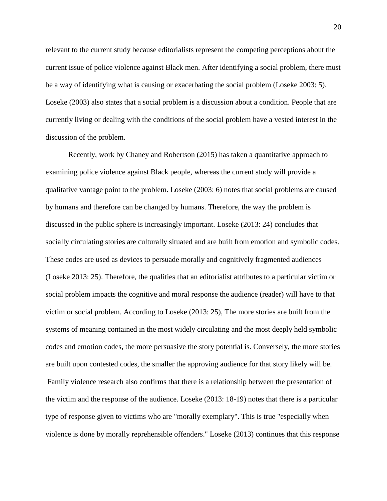relevant to the current study because editorialists represent the competing perceptions about the current issue of police violence against Black men. After identifying a social problem, there must be a way of identifying what is causing or exacerbating the social problem (Loseke 2003: 5). Loseke (2003) also states that a social problem is a discussion about a condition. People that are currently living or dealing with the conditions of the social problem have a vested interest in the discussion of the problem.

Recently, work by Chaney and Robertson (2015) has taken a quantitative approach to examining police violence against Black people, whereas the current study will provide a qualitative vantage point to the problem. Loseke (2003: 6) notes that social problems are caused by humans and therefore can be changed by humans. Therefore, the way the problem is discussed in the public sphere is increasingly important. Loseke (2013: 24) concludes that socially circulating stories are culturally situated and are built from emotion and symbolic codes. These codes are used as devices to persuade morally and cognitively fragmented audiences (Loseke 2013: 25). Therefore, the qualities that an editorialist attributes to a particular victim or social problem impacts the cognitive and moral response the audience (reader) will have to that victim or social problem. According to Loseke (2013: 25), The more stories are built from the systems of meaning contained in the most widely circulating and the most deeply held symbolic codes and emotion codes, the more persuasive the story potential is. Conversely, the more stories are built upon contested codes, the smaller the approving audience for that story likely will be. Family violence research also confirms that there is a relationship between the presentation of the victim and the response of the audience. Loseke (2013: 18-19) notes that there is a particular type of response given to victims who are "morally exemplary". This is true "especially when violence is done by morally reprehensible offenders." Loseke (2013) continues that this response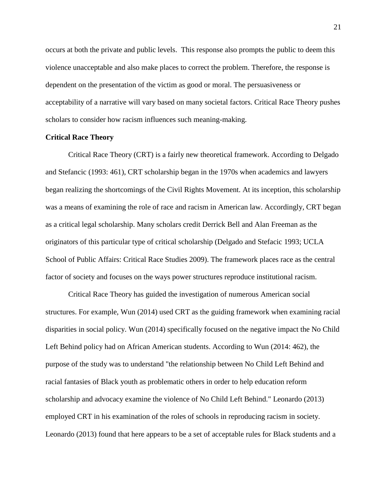occurs at both the private and public levels. This response also prompts the public to deem this violence unacceptable and also make places to correct the problem. Therefore, the response is dependent on the presentation of the victim as good or moral. The persuasiveness or acceptability of a narrative will vary based on many societal factors. Critical Race Theory pushes scholars to consider how racism influences such meaning-making.

#### **Critical Race Theory**

Critical Race Theory (CRT) is a fairly new theoretical framework. According to Delgado and Stefancic (1993: 461), CRT scholarship began in the 1970s when academics and lawyers began realizing the shortcomings of the Civil Rights Movement. At its inception, this scholarship was a means of examining the role of race and racism in American law. Accordingly, CRT began as a critical legal scholarship. Many scholars credit Derrick Bell and Alan Freeman as the originators of this particular type of critical scholarship (Delgado and Stefacic 1993; UCLA School of Public Affairs: Critical Race Studies 2009). The framework places race as the central factor of society and focuses on the ways power structures reproduce institutional racism.

Critical Race Theory has guided the investigation of numerous American social structures. For example, Wun (2014) used CRT as the guiding framework when examining racial disparities in social policy. Wun (2014) specifically focused on the negative impact the No Child Left Behind policy had on African American students. According to Wun (2014: 462), the purpose of the study was to understand "the relationship between No Child Left Behind and racial fantasies of Black youth as problematic others in order to help education reform scholarship and advocacy examine the violence of No Child Left Behind." Leonardo (2013) employed CRT in his examination of the roles of schools in reproducing racism in society. Leonardo (2013) found that here appears to be a set of acceptable rules for Black students and a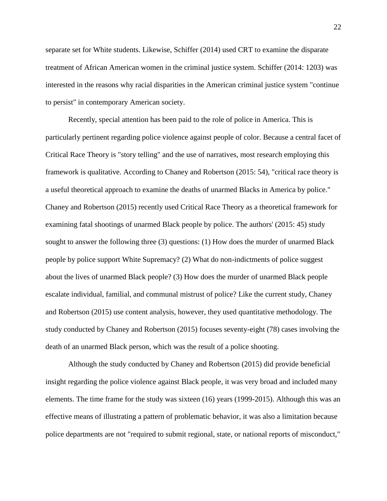separate set for White students. Likewise, Schiffer (2014) used CRT to examine the disparate treatment of African American women in the criminal justice system. Schiffer (2014: 1203) was interested in the reasons why racial disparities in the American criminal justice system "continue to persist" in contemporary American society.

Recently, special attention has been paid to the role of police in America. This is particularly pertinent regarding police violence against people of color. Because a central facet of Critical Race Theory is "story telling" and the use of narratives, most research employing this framework is qualitative. According to Chaney and Robertson (2015: 54), "critical race theory is a useful theoretical approach to examine the deaths of unarmed Blacks in America by police." Chaney and Robertson (2015) recently used Critical Race Theory as a theoretical framework for examining fatal shootings of unarmed Black people by police. The authors' (2015: 45) study sought to answer the following three (3) questions: (1) How does the murder of unarmed Black people by police support White Supremacy? (2) What do non-indictments of police suggest about the lives of unarmed Black people? (3) How does the murder of unarmed Black people escalate individual, familial, and communal mistrust of police? Like the current study, Chaney and Robertson (2015) use content analysis, however, they used quantitative methodology. The study conducted by Chaney and Robertson (2015) focuses seventy-eight (78) cases involving the death of an unarmed Black person, which was the result of a police shooting.

Although the study conducted by Chaney and Robertson (2015) did provide beneficial insight regarding the police violence against Black people, it was very broad and included many elements. The time frame for the study was sixteen (16) years (1999-2015). Although this was an effective means of illustrating a pattern of problematic behavior, it was also a limitation because police departments are not "required to submit regional, state, or national reports of misconduct,"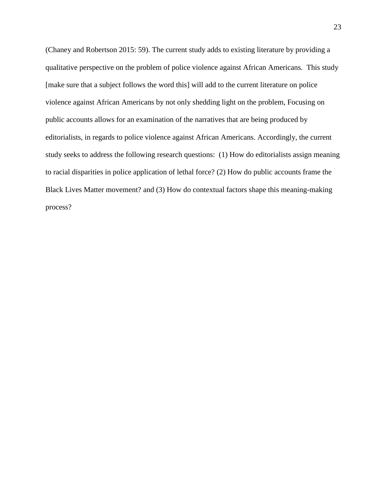(Chaney and Robertson 2015: 59). The current study adds to existing literature by providing a qualitative perspective on the problem of police violence against African Americans. This study [make sure that a subject follows the word this] will add to the current literature on police violence against African Americans by not only shedding light on the problem, Focusing on public accounts allows for an examination of the narratives that are being produced by editorialists, in regards to police violence against African Americans. Accordingly, the current study seeks to address the following research questions: (1) How do editorialists assign meaning to racial disparities in police application of lethal force? (2) How do public accounts frame the Black Lives Matter movement? and (3) How do contextual factors shape this meaning-making process?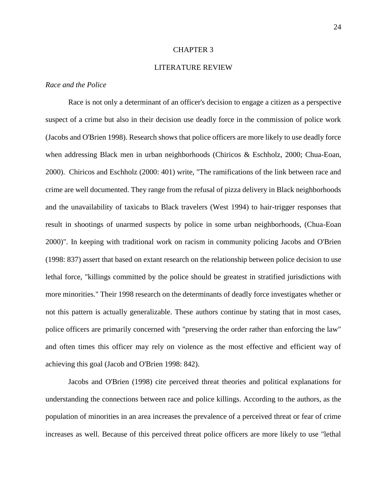#### CHAPTER 3

# LITERATURE REVIEW

# *Race and the Police*

Race is not only a determinant of an officer's decision to engage a citizen as a perspective suspect of a crime but also in their decision use deadly force in the commission of police work (Jacobs and O'Brien 1998). Research shows that police officers are more likely to use deadly force when addressing Black men in urban neighborhoods (Chiricos & Eschholz, 2000; Chua-Eoan, 2000). Chiricos and Eschholz (2000: 401) write, "The ramifications of the link between race and crime are well documented. They range from the refusal of pizza delivery in Black neighborhoods and the unavailability of taxicabs to Black travelers (West 1994) to hair-trigger responses that result in shootings of unarmed suspects by police in some urban neighborhoods, (Chua-Eoan 2000)". In keeping with traditional work on racism in community policing Jacobs and O'Brien (1998: 837) assert that based on extant research on the relationship between police decision to use lethal force, "killings committed by the police should be greatest in stratified jurisdictions with more minorities." Their 1998 research on the determinants of deadly force investigates whether or not this pattern is actually generalizable. These authors continue by stating that in most cases, police officers are primarily concerned with "preserving the order rather than enforcing the law" and often times this officer may rely on violence as the most effective and efficient way of achieving this goal (Jacob and O'Brien 1998: 842).

Jacobs and O'Brien (1998) cite perceived threat theories and political explanations for understanding the connections between race and police killings. According to the authors, as the population of minorities in an area increases the prevalence of a perceived threat or fear of crime increases as well. Because of this perceived threat police officers are more likely to use "lethal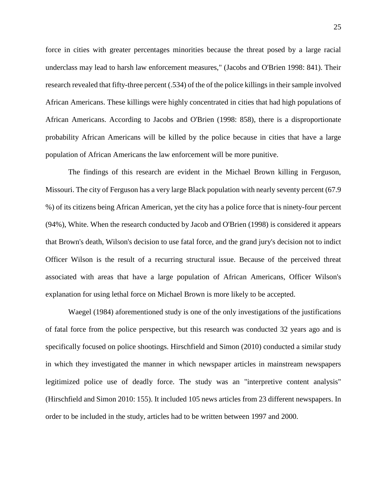force in cities with greater percentages minorities because the threat posed by a large racial underclass may lead to harsh law enforcement measures," (Jacobs and O'Brien 1998: 841). Their research revealed that fifty-three percent (.534) of the of the police killings in their sample involved African Americans. These killings were highly concentrated in cities that had high populations of African Americans. According to Jacobs and O'Brien (1998: 858), there is a disproportionate probability African Americans will be killed by the police because in cities that have a large population of African Americans the law enforcement will be more punitive.

The findings of this research are evident in the Michael Brown killing in Ferguson, Missouri. The city of Ferguson has a very large Black population with nearly seventy percent (67.9 %) of its citizens being African American, yet the city has a police force that is ninety-four percent (94%), White. When the research conducted by Jacob and O'Brien (1998) is considered it appears that Brown's death, Wilson's decision to use fatal force, and the grand jury's decision not to indict Officer Wilson is the result of a recurring structural issue. Because of the perceived threat associated with areas that have a large population of African Americans, Officer Wilson's explanation for using lethal force on Michael Brown is more likely to be accepted.

Waegel (1984) aforementioned study is one of the only investigations of the justifications of fatal force from the police perspective, but this research was conducted 32 years ago and is specifically focused on police shootings. Hirschfield and Simon (2010) conducted a similar study in which they investigated the manner in which newspaper articles in mainstream newspapers legitimized police use of deadly force. The study was an "interpretive content analysis" (Hirschfield and Simon 2010: 155). It included 105 news articles from 23 different newspapers. In order to be included in the study, articles had to be written between 1997 and 2000.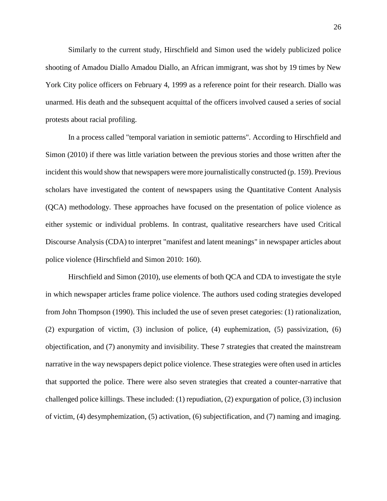Similarly to the current study, Hirschfield and Simon used the widely publicized police shooting of Amadou Diallo Amadou Diallo, an African immigrant, was shot by 19 times by New York City police officers on February 4, 1999 as a reference point for their research. Diallo was unarmed. His death and the subsequent acquittal of the officers involved caused a series of social protests about racial profiling.

In a process called "temporal variation in semiotic patterns". According to Hirschfield and Simon (2010) if there was little variation between the previous stories and those written after the incident this would show that newspapers were more journalistically constructed (p. 159). Previous scholars have investigated the content of newspapers using the Quantitative Content Analysis (QCA) methodology. These approaches have focused on the presentation of police violence as either systemic or individual problems. In contrast, qualitative researchers have used Critical Discourse Analysis (CDA) to interpret "manifest and latent meanings" in newspaper articles about police violence (Hirschfield and Simon 2010: 160).

Hirschfield and Simon (2010), use elements of both QCA and CDA to investigate the style in which newspaper articles frame police violence. The authors used coding strategies developed from John Thompson (1990). This included the use of seven preset categories: (1) rationalization, (2) expurgation of victim, (3) inclusion of police, (4) euphemization, (5) passivization, (6) objectification, and (7) anonymity and invisibility. These 7 strategies that created the mainstream narrative in the way newspapers depict police violence. These strategies were often used in articles that supported the police. There were also seven strategies that created a counter-narrative that challenged police killings. These included: (1) repudiation, (2) expurgation of police, (3) inclusion of victim, (4) desymphemization, (5) activation, (6) subjectification, and (7) naming and imaging.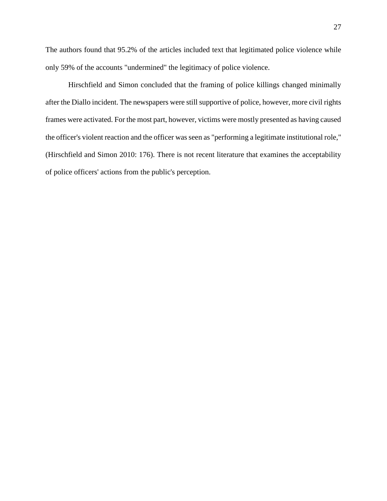The authors found that 95.2% of the articles included text that legitimated police violence while only 59% of the accounts "undermined" the legitimacy of police violence.

Hirschfield and Simon concluded that the framing of police killings changed minimally after the Diallo incident. The newspapers were still supportive of police, however, more civil rights frames were activated. For the most part, however, victims were mostly presented as having caused the officer's violent reaction and the officer was seen as "performing a legitimate institutional role," (Hirschfield and Simon 2010: 176). There is not recent literature that examines the acceptability of police officers' actions from the public's perception.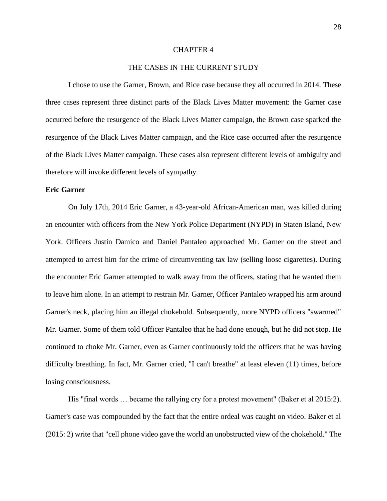#### CHAPTER 4

#### THE CASES IN THE CURRENT STUDY

I chose to use the Garner, Brown, and Rice case because they all occurred in 2014. These three cases represent three distinct parts of the Black Lives Matter movement: the Garner case occurred before the resurgence of the Black Lives Matter campaign, the Brown case sparked the resurgence of the Black Lives Matter campaign, and the Rice case occurred after the resurgence of the Black Lives Matter campaign. These cases also represent different levels of ambiguity and therefore will invoke different levels of sympathy.

#### **Eric Garner**

On July 17th, 2014 Eric Garner, a 43-year-old African-American man, was killed during an encounter with officers from the New York Police Department (NYPD) in Staten Island, New York. Officers Justin Damico and Daniel Pantaleo approached Mr. Garner on the street and attempted to arrest him for the crime of circumventing tax law (selling loose cigarettes). During the encounter Eric Garner attempted to walk away from the officers, stating that he wanted them to leave him alone. In an attempt to restrain Mr. Garner, Officer Pantaleo wrapped his arm around Garner's neck, placing him an illegal chokehold. Subsequently, more NYPD officers "swarmed" Mr. Garner. Some of them told Officer Pantaleo that he had done enough, but he did not stop. He continued to choke Mr. Garner, even as Garner continuously told the officers that he was having difficulty breathing. In fact, Mr. Garner cried, "I can't breathe" at least eleven (11) times, before losing consciousness.

His "final words … became the rallying cry for a protest movement" (Baker et al 2015:2). Garner's case was compounded by the fact that the entire ordeal was caught on video. Baker et al (2015: 2) write that "cell phone video gave the world an unobstructed view of the chokehold." The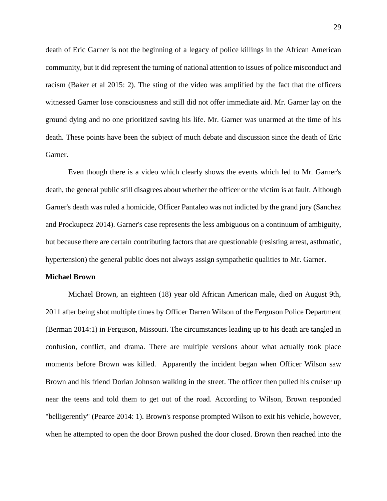death of Eric Garner is not the beginning of a legacy of police killings in the African American community, but it did represent the turning of national attention to issues of police misconduct and racism (Baker et al 2015: 2). The sting of the video was amplified by the fact that the officers witnessed Garner lose consciousness and still did not offer immediate aid. Mr. Garner lay on the ground dying and no one prioritized saving his life. Mr. Garner was unarmed at the time of his death. These points have been the subject of much debate and discussion since the death of Eric Garner.

Even though there is a video which clearly shows the events which led to Mr. Garner's death, the general public still disagrees about whether the officer or the victim is at fault. Although Garner's death was ruled a homicide, Officer Pantaleo was not indicted by the grand jury (Sanchez and Prockupecz 2014). Garner's case represents the less ambiguous on a continuum of ambiguity, but because there are certain contributing factors that are questionable (resisting arrest, asthmatic, hypertension) the general public does not always assign sympathetic qualities to Mr. Garner.

#### **Michael Brown**

Michael Brown, an eighteen (18) year old African American male, died on August 9th, 2011 after being shot multiple times by Officer Darren Wilson of the Ferguson Police Department (Berman 2014:1) in Ferguson, Missouri. The circumstances leading up to his death are tangled in confusion, conflict, and drama. There are multiple versions about what actually took place moments before Brown was killed. Apparently the incident began when Officer Wilson saw Brown and his friend Dorian Johnson walking in the street. The officer then pulled his cruiser up near the teens and told them to get out of the road. According to Wilson, Brown responded "belligerently" (Pearce 2014: 1). Brown's response prompted Wilson to exit his vehicle, however, when he attempted to open the door Brown pushed the door closed. Brown then reached into the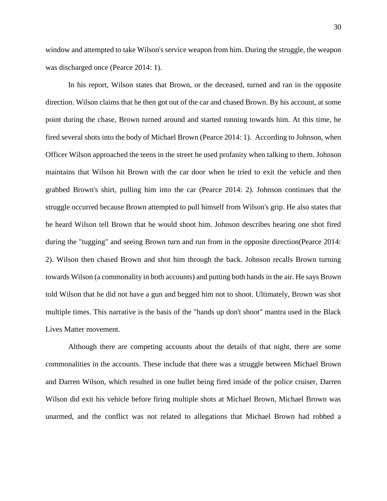window and attempted to take Wilson's service weapon from him. During the struggle, the weapon was discharged once (Pearce 2014: 1).

In his report, Wilson states that Brown, or the deceased, turned and ran in the opposite direction. Wilson claims that he then got out of the car and chased Brown. By his account, at some point during the chase, Brown turned around and started running towards him. At this time, he fired several shots into the body of Michael Brown (Pearce 2014: 1). According to Johnson, when Officer Wilson approached the teens in the street he used profanity when talking to them. Johnson maintains that Wilson hit Brown with the car door when he tried to exit the vehicle and then grabbed Brown's shirt, pulling him into the car (Pearce 2014: 2). Johnson continues that the struggle occurred because Brown attempted to pull himself from Wilson's grip. He also states that he heard Wilson tell Brown that he would shoot him. Johnson describes hearing one shot fired during the "tugging" and seeing Brown turn and run from in the opposite direction(Pearce 2014: 2). Wilson then chased Brown and shot him through the back. Johnson recalls Brown turning towards Wilson (a commonality in both accounts) and putting both hands in the air. He says Brown told Wilson that he did not have a gun and begged him not to shoot. Ultimately, Brown was shot multiple times. This narrative is the basis of the "hands up don't shoot" mantra used in the Black Lives Matter movement.

Although there are competing accounts about the details of that night, there are some commonalities in the accounts. These include that there was a struggle between Michael Brown and Darren Wilson, which resulted in one bullet being fired inside of the police cruiser, Darren Wilson did exit his vehicle before firing multiple shots at Michael Brown, Michael Brown was unarmed, and the conflict was not related to allegations that Michael Brown had robbed a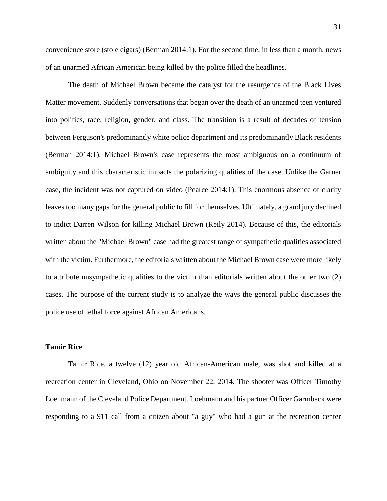convenience store (stole cigars) (Berman 2014:1). For the second time, in less than a month, news of an unarmed African American being killed by the police filled the headlines.

The death of Michael Brown became the catalyst for the resurgence of the Black Lives Matter movement. Suddenly conversations that began over the death of an unarmed teen ventured into politics, race, religion, gender, and class. The transition is a result of decades of tension between Ferguson's predominantly white police department and its predominantly Black residents (Berman 2014:1). Michael Brown's case represents the most ambiguous on a continuum of ambiguity and this characteristic impacts the polarizing qualities of the case. Unlike the Garner case, the incident was not captured on video (Pearce 2014:1). This enormous absence of clarity leaves too many gaps for the general public to fill for themselves. Ultimately, a grand jury declined to indict Darren Wilson for killing Michael Brown (Reily 2014). Because of this, the editorials written about the "Michael Brown" case had the greatest range of sympathetic qualities associated with the victim. Furthermore, the editorials written about the Michael Brown case were more likely to attribute unsympathetic qualities to the victim than editorials written about the other two (2) cases. The purpose of the current study is to analyze the ways the general public discusses the police use of lethal force against African Americans.

#### **Tamir Rice**

Tamir Rice, a twelve (12) year old African-American male, was shot and killed at a recreation center in Cleveland, Ohio on November 22, 2014. The shooter was Officer Timothy Loehmann of the Cleveland Police Department. Loehmann and his partner Officer Garmback were responding to a 911 call from a citizen about "a guy" who had a gun at the recreation center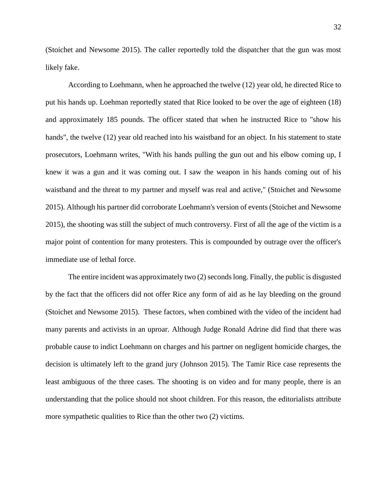(Stoichet and Newsome 2015). The caller reportedly told the dispatcher that the gun was most likely fake.

According to Loehmann, when he approached the twelve (12) year old, he directed Rice to put his hands up. Loehman reportedly stated that Rice looked to be over the age of eighteen (18) and approximately 185 pounds. The officer stated that when he instructed Rice to "show his hands", the twelve (12) year old reached into his waistband for an object. In his statement to state prosecutors, Loehmann writes, "With his hands pulling the gun out and his elbow coming up, I knew it was a gun and it was coming out. I saw the weapon in his hands coming out of his waistband and the threat to my partner and myself was real and active," (Stoichet and Newsome 2015). Although his partner did corroborate Loehmann's version of events (Stoichet and Newsome 2015), the shooting was still the subject of much controversy. First of all the age of the victim is a major point of contention for many protesters. This is compounded by outrage over the officer's immediate use of lethal force.

The entire incident was approximately two (2) seconds long. Finally, the public is disgusted by the fact that the officers did not offer Rice any form of aid as he lay bleeding on the ground (Stoichet and Newsome 2015). These factors, when combined with the video of the incident had many parents and activists in an uproar. Although Judge Ronald Adrine did find that there was probable cause to indict Loehmann on charges and his partner on negligent homicide charges, the decision is ultimately left to the grand jury (Johnson 2015). The Tamir Rice case represents the least ambiguous of the three cases. The shooting is on video and for many people, there is an understanding that the police should not shoot children. For this reason, the editorialists attribute more sympathetic qualities to Rice than the other two (2) victims.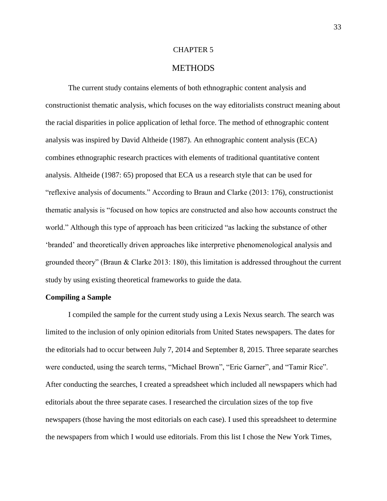#### CHAPTER 5

### **METHODS**

The current study contains elements of both ethnographic content analysis and constructionist thematic analysis, which focuses on the way editorialists construct meaning about the racial disparities in police application of lethal force. The method of ethnographic content analysis was inspired by David Altheide (1987). An ethnographic content analysis (ECA) combines ethnographic research practices with elements of traditional quantitative content analysis. Altheide (1987: 65) proposed that ECA us a research style that can be used for "reflexive analysis of documents." According to Braun and Clarke (2013: 176), constructionist thematic analysis is "focused on how topics are constructed and also how accounts construct the world." Although this type of approach has been criticized "as lacking the substance of other 'branded' and theoretically driven approaches like interpretive phenomenological analysis and grounded theory" (Braun & Clarke 2013: 180), this limitation is addressed throughout the current study by using existing theoretical frameworks to guide the data.

#### **Compiling a Sample**

I compiled the sample for the current study using a Lexis Nexus search. The search was limited to the inclusion of only opinion editorials from United States newspapers. The dates for the editorials had to occur between July 7, 2014 and September 8, 2015. Three separate searches were conducted, using the search terms, "Michael Brown", "Eric Garner", and "Tamir Rice". After conducting the searches, I created a spreadsheet which included all newspapers which had editorials about the three separate cases. I researched the circulation sizes of the top five newspapers (those having the most editorials on each case). I used this spreadsheet to determine the newspapers from which I would use editorials. From this list I chose the New York Times,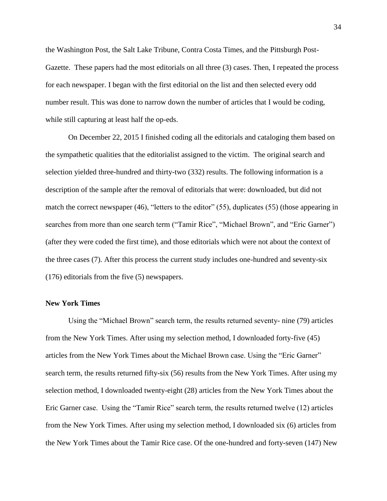the Washington Post, the Salt Lake Tribune, Contra Costa Times, and the Pittsburgh Post-Gazette. These papers had the most editorials on all three (3) cases. Then, I repeated the process for each newspaper. I began with the first editorial on the list and then selected every odd number result. This was done to narrow down the number of articles that I would be coding, while still capturing at least half the op-eds.

On December 22, 2015 I finished coding all the editorials and cataloging them based on the sympathetic qualities that the editorialist assigned to the victim. The original search and selection yielded three-hundred and thirty-two (332) results. The following information is a description of the sample after the removal of editorials that were: downloaded, but did not match the correct newspaper (46), "letters to the editor" (55), duplicates (55) (those appearing in searches from more than one search term ("Tamir Rice", "Michael Brown", and "Eric Garner") (after they were coded the first time), and those editorials which were not about the context of the three cases (7). After this process the current study includes one-hundred and seventy-six (176) editorials from the five (5) newspapers.

# **New York Times**

Using the "Michael Brown" search term, the results returned seventy- nine (79) articles from the New York Times. After using my selection method, I downloaded forty-five (45) articles from the New York Times about the Michael Brown case. Using the "Eric Garner" search term, the results returned fifty-six (56) results from the New York Times. After using my selection method, I downloaded twenty-eight (28) articles from the New York Times about the Eric Garner case. Using the "Tamir Rice" search term, the results returned twelve (12) articles from the New York Times. After using my selection method, I downloaded six (6) articles from the New York Times about the Tamir Rice case. Of the one-hundred and forty-seven (147) New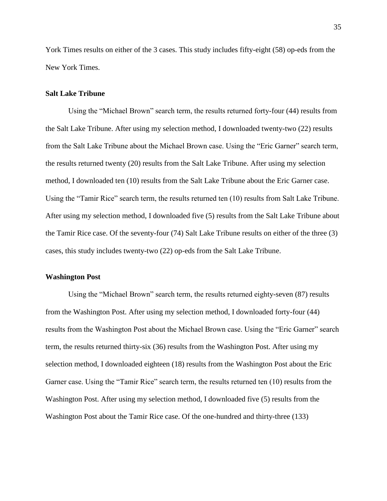York Times results on either of the 3 cases. This study includes fifty-eight (58) op-eds from the New York Times.

#### **Salt Lake Tribune**

Using the "Michael Brown" search term, the results returned forty-four (44) results from the Salt Lake Tribune. After using my selection method, I downloaded twenty-two (22) results from the Salt Lake Tribune about the Michael Brown case. Using the "Eric Garner" search term, the results returned twenty (20) results from the Salt Lake Tribune. After using my selection method, I downloaded ten (10) results from the Salt Lake Tribune about the Eric Garner case. Using the "Tamir Rice" search term, the results returned ten (10) results from Salt Lake Tribune. After using my selection method, I downloaded five (5) results from the Salt Lake Tribune about the Tamir Rice case. Of the seventy-four (74) Salt Lake Tribune results on either of the three (3) cases, this study includes twenty-two (22) op-eds from the Salt Lake Tribune.

#### **Washington Post**

Using the "Michael Brown" search term, the results returned eighty-seven (87) results from the Washington Post. After using my selection method, I downloaded forty-four (44) results from the Washington Post about the Michael Brown case. Using the "Eric Garner" search term, the results returned thirty-six (36) results from the Washington Post. After using my selection method, I downloaded eighteen (18) results from the Washington Post about the Eric Garner case. Using the "Tamir Rice" search term, the results returned ten (10) results from the Washington Post. After using my selection method, I downloaded five (5) results from the Washington Post about the Tamir Rice case. Of the one-hundred and thirty-three (133)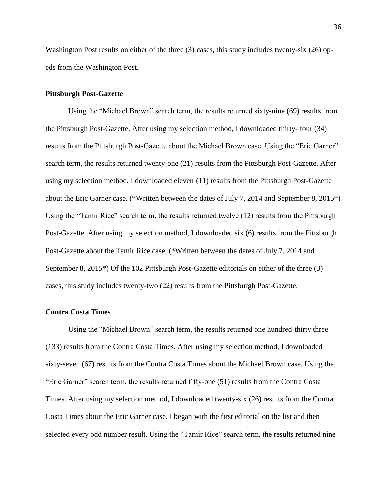Washington Post results on either of the three (3) cases, this study includes twenty-six (26) opeds from the Washington Post.

#### **Pittsburgh Post-Gazette**

Using the "Michael Brown" search term, the results returned sixty-nine (69) results from the Pittsburgh Post-Gazette. After using my selection method, I downloaded thirty- four (34) results from the Pittsburgh Post-Gazette about the Michael Brown case. Using the "Eric Garner" search term, the results returned twenty-one (21) results from the Pittsburgh Post-Gazette. After using my selection method, I downloaded eleven (11) results from the Pittsburgh Post-Gazette about the Eric Garner case. (\*Written between the dates of July 7, 2014 and September 8, 2015\*) Using the "Tamir Rice" search term, the results returned twelve (12) results from the Pittsburgh Post-Gazette. After using my selection method, I downloaded six (6) results from the Pittsburgh Post-Gazette about the Tamir Rice case. (\*Written between the dates of July 7, 2014 and September 8, 2015\*) Of the 102 Pittsburgh Post-Gazette editorials on either of the three (3) cases, this study includes twenty-two (22) results from the Pittsburgh Post-Gazette.

#### **Contra Costa Times**

Using the "Michael Brown" search term, the results returned one hundred-thirty three (133) results from the Contra Costa Times. After using my selection method, I downloaded sixty-seven (67) results from the Contra Costa Times about the Michael Brown case. Using the "Eric Garner" search term, the results returned fifty-one (51) results from the Contra Costa Times. After using my selection method, I downloaded twenty-six (26) results from the Contra Costa Times about the Eric Garner case. I began with the first editorial on the list and then selected every odd number result. Using the "Tamir Rice" search term, the results returned nine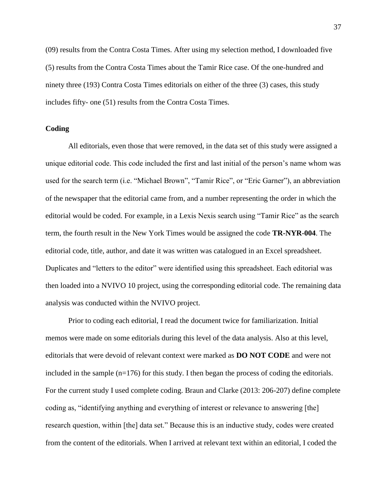(09) results from the Contra Costa Times. After using my selection method, I downloaded five (5) results from the Contra Costa Times about the Tamir Rice case. Of the one-hundred and ninety three (193) Contra Costa Times editorials on either of the three (3) cases, this study includes fifty- one (51) results from the Contra Costa Times.

### **Coding**

All editorials, even those that were removed, in the data set of this study were assigned a unique editorial code. This code included the first and last initial of the person's name whom was used for the search term (i.e. "Michael Brown", "Tamir Rice", or "Eric Garner"), an abbreviation of the newspaper that the editorial came from, and a number representing the order in which the editorial would be coded. For example, in a Lexis Nexis search using "Tamir Rice" as the search term, the fourth result in the New York Times would be assigned the code **TR-NYR-004**. The editorial code, title, author, and date it was written was catalogued in an Excel spreadsheet. Duplicates and "letters to the editor" were identified using this spreadsheet. Each editorial was then loaded into a NVIVO 10 project, using the corresponding editorial code. The remaining data analysis was conducted within the NVIVO project.

Prior to coding each editorial, I read the document twice for familiarization. Initial memos were made on some editorials during this level of the data analysis. Also at this level, editorials that were devoid of relevant context were marked as **DO NOT CODE** and were not included in the sample (n=176) for this study. I then began the process of coding the editorials. For the current study I used complete coding. Braun and Clarke (2013: 206-207) define complete coding as, "identifying anything and everything of interest or relevance to answering [the] research question, within [the] data set." Because this is an inductive study, codes were created from the content of the editorials. When I arrived at relevant text within an editorial, I coded the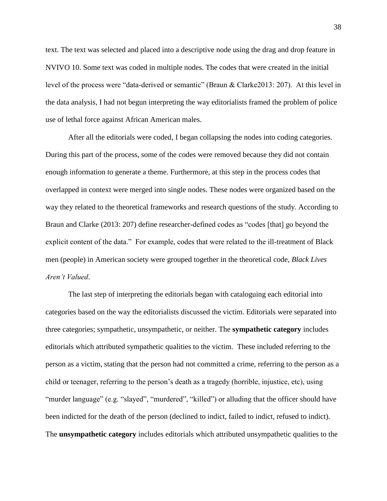text. The text was selected and placed into a descriptive node using the drag and drop feature in NVIVO 10. Some text was coded in multiple nodes. The codes that were created in the initial level of the process were "data-derived or semantic" (Braun & Clarke2013: 207). At this level in the data analysis, I had not begun interpreting the way editorialists framed the problem of police use of lethal force against African American males.

After all the editorials were coded, I began collapsing the nodes into coding categories. During this part of the process, some of the codes were removed because they did not contain enough information to generate a theme. Furthermore, at this step in the process codes that overlapped in context were merged into single nodes. These nodes were organized based on the way they related to the theoretical frameworks and research questions of the study. According to Braun and Clarke (2013: 207) define researcher-defined codes as "codes [that] go beyond the explicit content of the data." For example, codes that were related to the ill-treatment of Black men (people) in American society were grouped together in the theoretical code, *Black Lives Aren't Valued*.

The last step of interpreting the editorials began with cataloguing each editorial into categories based on the way the editorialists discussed the victim. Editorials were separated into three categories; sympathetic, unsympathetic, or neither. The **sympathetic category** includes editorials which attributed sympathetic qualities to the victim. These included referring to the person as a victim, stating that the person had not committed a crime, referring to the person as a child or teenager, referring to the person's death as a tragedy (horrible, injustice, etc), using "murder language" (e.g. "slayed", "murdered", "killed") or alluding that the officer should have been indicted for the death of the person (declined to indict, failed to indict, refused to indict). The **unsympathetic category** includes editorials which attributed unsympathetic qualities to the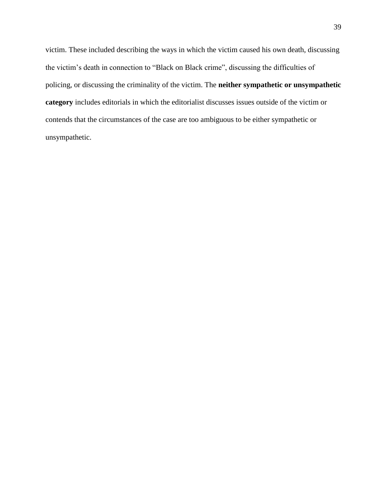victim. These included describing the ways in which the victim caused his own death, discussing the victim's death in connection to "Black on Black crime", discussing the difficulties of policing, or discussing the criminality of the victim. The **neither sympathetic or unsympathetic category** includes editorials in which the editorialist discusses issues outside of the victim or contends that the circumstances of the case are too ambiguous to be either sympathetic or unsympathetic.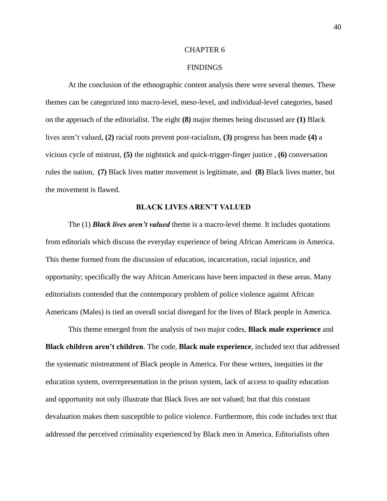# CHAPTER 6

### FINDINGS

At the conclusion of the ethnographic content analysis there were several themes. These themes can be categorized into macro-level, meso-level, and individual-level categories, based on the approach of the editorialist. The eight **(8)** major themes being discussed are **(1)** Black lives aren't valued, **(2)** racial roots prevent post-racialism, **(3)** progress has been made **(4)** a vicious cycle of mistrust, **(5)** the nightstick and quick-trigger-finger justice , **(6)** conversation rules the nation, **(7)** Black lives matter movement is legitimate, and **(8)** Black lives matter, but the movement is flawed.

### **BLACK LIVES AREN'T VALUED**

The (1) *Black lives aren't valued* theme is a macro-level theme. It includes quotations from editorials which discuss the everyday experience of being African Americans in America. This theme formed from the discussion of education, incarceration, racial injustice, and opportunity; specifically the way African Americans have been impacted in these areas. Many editorialists contended that the contemporary problem of police violence against African Americans (Males) is tied an overall social disregard for the lives of Black people in America.

This theme emerged from the analysis of two major codes, **Black male experience** and **Black children aren't children**. The code, **Black male experience**, included text that addressed the systematic mistreatment of Black people in America. For these writers, inequities in the education system, overrepresentation in the prison system, lack of access to quality education and opportunity not only illustrate that Black lives are not valued; but that this constant devaluation makes them susceptible to police violence. Furthermore, this code includes text that addressed the perceived criminality experienced by Black men in America. Editorialists often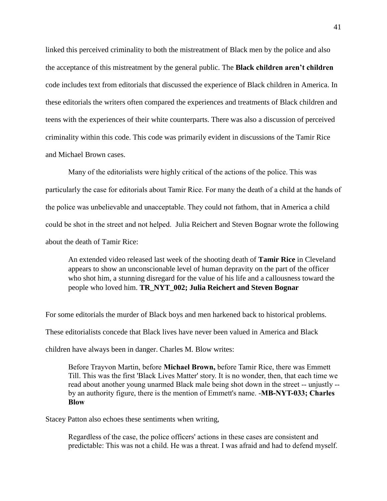linked this perceived criminality to both the mistreatment of Black men by the police and also the acceptance of this mistreatment by the general public. The **Black children aren't children** code includes text from editorials that discussed the experience of Black children in America. In these editorials the writers often compared the experiences and treatments of Black children and teens with the experiences of their white counterparts. There was also a discussion of perceived criminality within this code. This code was primarily evident in discussions of the Tamir Rice and Michael Brown cases.

Many of the editorialists were highly critical of the actions of the police. This was particularly the case for editorials about Tamir Rice. For many the death of a child at the hands of the police was unbelievable and unacceptable. They could not fathom, that in America a child could be shot in the street and not helped. Julia Reichert and Steven Bognar wrote the following about the death of Tamir Rice:

An extended video released last week of the shooting death of **Tamir Rice** in Cleveland appears to show an unconscionable level of human depravity on the part of the officer who shot him, a stunning disregard for the value of his life and a callousness toward the people who loved him. **TR\_NYT\_002; Julia Reichert and Steven Bognar**

For some editorials the murder of Black boys and men harkened back to historical problems.

These editorialists concede that Black lives have never been valued in America and Black

children have always been in danger. Charles M. Blow writes:

Before Trayvon Martin, before **Michael Brown,** before Tamir Rice, there was Emmett Till. This was the first 'Black Lives Matter' story. It is no wonder, then, that each time we read about another young unarmed Black male being shot down in the street -- unjustly - by an authority figure, there is the mention of Emmett's name. -**[MB-NYT-033;](file:///C:/Users/ansli_000/Desktop/788a905a-06cc-42f1-9dd2-c1b96b69526e) Charles Blow**

Stacey Patton also echoes these sentiments when writing,

Regardless of the case, the police officers' actions in these cases are consistent and predictable: This was not a child. He was a threat. I was afraid and had to defend myself.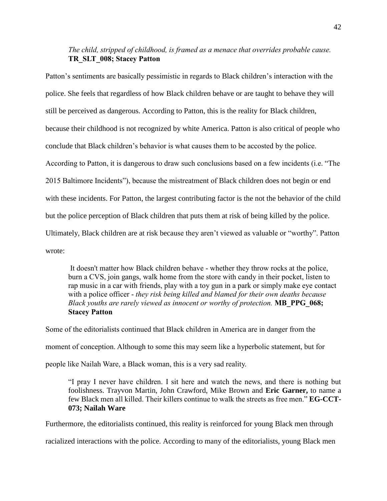# *The child, stripped of childhood, is framed as a menace that overrides probable cause.* **TR\_SLT\_008; Stacey Patton**

Patton's sentiments are basically pessimistic in regards to Black children's interaction with the police. She feels that regardless of how Black children behave or are taught to behave they will still be perceived as dangerous. According to Patton, this is the reality for Black children, because their childhood is not recognized by white America. Patton is also critical of people who conclude that Black children's behavior is what causes them to be accosted by the police. According to Patton, it is dangerous to draw such conclusions based on a few incidents (i.e. "The 2015 Baltimore Incidents"), because the mistreatment of Black children does not begin or end with these incidents. For Patton, the largest contributing factor is the not the behavior of the child but the police perception of Black children that puts them at risk of being killed by the police. Ultimately, Black children are at risk because they aren't viewed as valuable or "worthy". Patton wrote:

It doesn't matter how Black children behave - whether they throw rocks at the police, burn a CVS, join gangs, walk home from the store with candy in their pocket, listen to rap music in a car with friends, play with a toy gun in a park or simply make eye contact with a police officer - *they risk being killed and blamed for their own deaths because Black youths are rarely viewed as innocent or worthy of protection.* **MB\_PPG\_068; Stacey Patton**

Some of the editorialists continued that Black children in America are in danger from the moment of conception. Although to some this may seem like a hyperbolic statement, but for people like Nailah Ware, a Black woman, this is a very sad reality.

"I pray I never have children. I sit here and watch the news, and there is nothing but foolishness. Trayvon Martin, John Crawford, Mike Brown and **Eric Garner,** to name a few Black men all killed. Their killers continue to walk the streets as free men." **EG-CCT-073; Nailah Ware**

Furthermore, the editorialists continued, this reality is reinforced for young Black men through

racialized interactions with the police. According to many of the editorialists, young Black men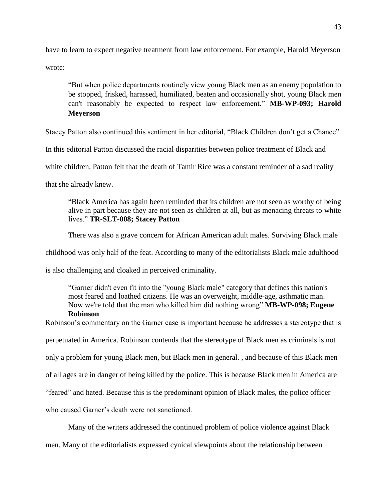have to learn to expect negative treatment from law enforcement. For example, Harold Meyerson wrote:

"But when police departments routinely view young Black men as an enemy population to be stopped, frisked, harassed, humiliated, beaten and occasionally shot, young Black men can't reasonably be expected to respect law enforcement." **MB-WP-093; Harold Meyerson**

Stacey Patton also continued this sentiment in her editorial, "Black Children don't get a Chance".

In this editorial Patton discussed the racial disparities between police treatment of Black and

white children. Patton felt that the death of Tamir Rice was a constant reminder of a sad reality

that she already knew.

"Black America has again been reminded that its children are not seen as worthy of being alive in part because they are not seen as children at all, but as menacing threats to white lives." **TR-SLT-008; Stacey Patton**

There was also a grave concern for African American adult males. Surviving Black male

childhood was only half of the feat. According to many of the editorialists Black male adulthood

is also challenging and cloaked in perceived criminality.

"Garner didn't even fit into the "young Black male" category that defines this nation's most feared and loathed citizens. He was an overweight, middle-age, asthmatic man. Now we're told that the man who killed him did nothing wrong" **MB-WP-098; Eugene Robinson**

Robinson's commentary on the Garner case is important because he addresses a stereotype that is perpetuated in America. Robinson contends that the stereotype of Black men as criminals is not only a problem for young Black men, but Black men in general. , and because of this Black men of all ages are in danger of being killed by the police. This is because Black men in America are "feared" and hated. Because this is the predominant opinion of Black males, the police officer who caused Garner's death were not sanctioned.

Many of the writers addressed the continued problem of police violence against Black

men. Many of the editorialists expressed cynical viewpoints about the relationship between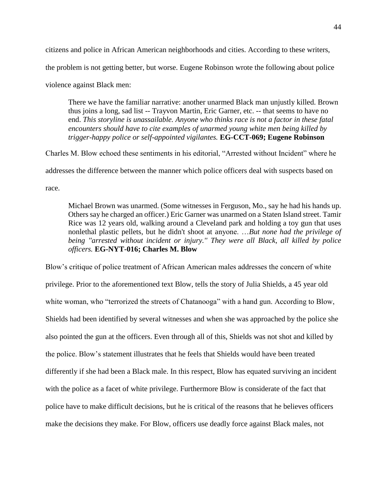citizens and police in African American neighborhoods and cities. According to these writers,

the problem is not getting better, but worse. Eugene Robinson wrote the following about police

violence against Black men:

There we have the familiar narrative: another unarmed Black man unjustly killed. Brown thus joins a long, sad list -- Trayvon Martin, Eric Garner, etc. -- that seems to have no end. *This storyline is unassailable. Anyone who thinks race is not a factor in these fatal encounters should have to cite examples of unarmed young white men being killed by trigger-happy police or self-appointed vigilantes.* **EG-CCT-069; Eugene Robinson**

Charles M. Blow echoed these sentiments in his editorial, "Arrested without Incident" where he addresses the difference between the manner which police officers deal with suspects based on race.

Michael Brown was unarmed. (Some witnesses in Ferguson, Mo., say he had his hands up. Others say he charged an officer.) Eric Garner was unarmed on a Staten Island street. Tamir Rice was 12 years old, walking around a Cleveland park and holding a toy gun that uses nonlethal plastic pellets, but he didn't shoot at anyone. …*But none had the privilege of being ''arrested without incident or injury.'' They were all Black, all killed by police officers.* **EG-NYT-016; Charles M. Blow**

Blow's critique of police treatment of African American males addresses the concern of white privilege. Prior to the aforementioned text Blow, tells the story of Julia Shields, a 45 year old white woman, who "terrorized the streets of Chatanooga" with a hand gun. According to Blow, Shields had been identified by several witnesses and when she was approached by the police she also pointed the gun at the officers. Even through all of this, Shields was not shot and killed by the police. Blow's statement illustrates that he feels that Shields would have been treated differently if she had been a Black male. In this respect, Blow has equated surviving an incident with the police as a facet of white privilege. Furthermore Blow is considerate of the fact that police have to make difficult decisions, but he is critical of the reasons that he believes officers make the decisions they make. For Blow, officers use deadly force against Black males, not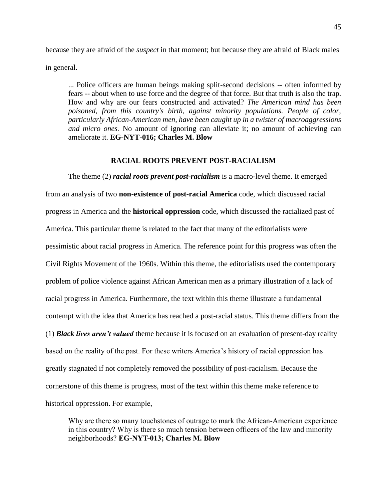because they are afraid of the *suspect* in that moment; but because they are afraid of Black males in general.

... Police officers are human beings making split-second decisions -- often informed by fears -- about when to use force and the degree of that force. But that truth is also the trap. How and why are our fears constructed and activated? *The American mind has been poisoned, from this country's birth, against minority populations. People of color, particularly African-American men, have been caught up in a twister of macroaggressions and micro ones.* No amount of ignoring can alleviate it; no amount of achieving can ameliorate it. **EG-NYT-016; Charles M. Blow**

# **RACIAL ROOTS PREVENT POST-RACIALISM**

The theme (2) *racial roots prevent post-racialism* is a macro-level theme. It emerged from an analysis of two **non-existence of post-racial America** code, which discussed racial progress in America and the **historical oppression** code, which discussed the racialized past of America. This particular theme is related to the fact that many of the editorialists were pessimistic about racial progress in America. The reference point for this progress was often the Civil Rights Movement of the 1960s. Within this theme, the editorialists used the contemporary problem of police violence against African American men as a primary illustration of a lack of racial progress in America. Furthermore, the text within this theme illustrate a fundamental contempt with the idea that America has reached a post-racial status. This theme differs from the (1) *Black lives aren't valued* theme because it is focused on an evaluation of present-day reality based on the reality of the past. For these writers America's history of racial oppression has greatly stagnated if not completely removed the possibility of post-racialism. Because the cornerstone of this theme is progress, most of the text within this theme make reference to historical oppression. For example,

Why are there so many touchstones of outrage to mark the African-American experience in this country? Why is there so much tension between officers of the law and minority neighborhoods? **EG-NYT-013; Charles M. Blow**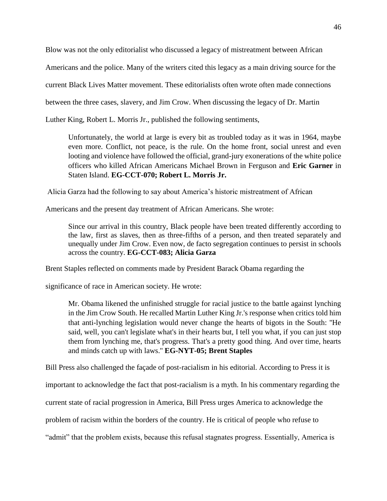Blow was not the only editorialist who discussed a legacy of mistreatment between African

Americans and the police. Many of the writers cited this legacy as a main driving source for the

current Black Lives Matter movement. These editorialists often wrote often made connections

between the three cases, slavery, and Jim Crow. When discussing the legacy of Dr. Martin

Luther King, Robert L. Morris Jr., published the following sentiments,

Unfortunately, the world at large is every bit as troubled today as it was in 1964, maybe even more. Conflict, not peace, is the rule. On the home front, social unrest and even looting and violence have followed the official, grand-jury exonerations of the white police officers who killed African Americans Michael Brown in Ferguson and **Eric Garner** in Staten Island. **EG-CCT-070; Robert L. Morris Jr.**

Alicia Garza had the following to say about America's historic mistreatment of African

Americans and the present day treatment of African Americans. She wrote:

Since our arrival in this country, Black people have been treated differently according to the law, first as slaves, then as three-fifths of a person, and then treated separately and unequally under Jim Crow. Even now, de facto segregation continues to persist in schools across the country. **EG-CCT-083; Alicia Garza**

Brent Staples reflected on comments made by President Barack Obama regarding the

significance of race in American society. He wrote:

Mr. Obama likened the unfinished struggle for racial justice to the battle against lynching in the Jim Crow South. He recalled Martin Luther King Jr.'s response when critics told him that anti-lynching legislation would never change the hearts of bigots in the South: ''He said, well, you can't legislate what's in their hearts but, I tell you what, if you can just stop them from lynching me, that's progress. That's a pretty good thing. And over time, hearts and minds catch up with laws.'' **EG-NYT-05; Brent Staples**

Bill Press also challenged the façade of post-racialism in his editorial. According to Press it is

important to acknowledge the fact that post-racialism is a myth. In his commentary regarding the

current state of racial progression in America, Bill Press urges America to acknowledge the

problem of racism within the borders of the country. He is critical of people who refuse to

"admit" that the problem exists, because this refusal stagnates progress. Essentially, America is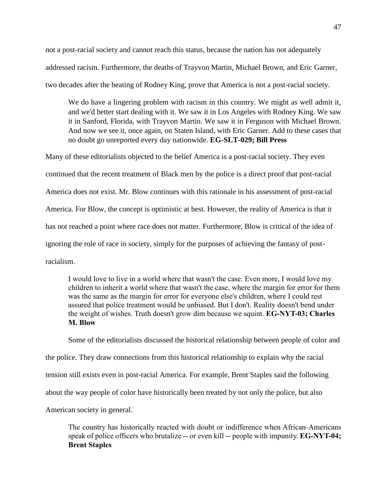not a post-racial society and cannot reach this status, because the nation has not adequately addressed racism. Furthermore, the deaths of Trayvon Martin, Michael Brown, and Eric Garner, two decades after the beating of Rodney King, prove that America is not a post-racial society.

We do have a lingering problem with racism in this country. We might as well admit it, and we'd better start dealing with it. We saw it in Los Angeles with Rodney King. We saw it in Sanford, Florida, with Trayvon Martin. We saw it in Ferguson with Michael Brown. And now we see it, once again, on Staten Island, with Eric Garner. Add to these cases that no doubt go unreported every day nationwide. **EG-SLT-029; Bill Press**

Many of these editorialists objected to the belief America is a post-racial society. They even continued that the recent treatment of Black men by the police is a direct proof that post-racial America does not exist. Mr. Blow continues with this rationale in his assessment of post-racial America. For Blow, the concept is optimistic at best. However, the reality of America is that it has not reached a point where race does not matter. Furthermore, Blow is critical of the idea of ignoring the role of race in society, simply for the purposes of achieving the fantasy of postracialism.

I would love to live in a world where that wasn't the case. Even more, I would love my children to inherit a world where that wasn't the case, where the margin for error for them was the same as the margin for error for everyone else's children, where I could rest assured that police treatment would be unbiased. But I don't. Reality doesn't bend under the weight of wishes. Truth doesn't grow dim because we squint. **EG-NYT-03; Charles M. Blow**

Some of the editorialists discussed the historical relationship between people of color and the police. They draw connections from this historical relationship to explain why the racial tension still exists even in post-racial America. For example, Brent Staples said the following about the way people of color have historically been treated by not only the police, but also American society in general.

The country has historically reacted with doubt or indifference when African-Americans speak of police officers who brutalize -- or even kill -- people with impunity. **EG-NYT-04; Brent Staples**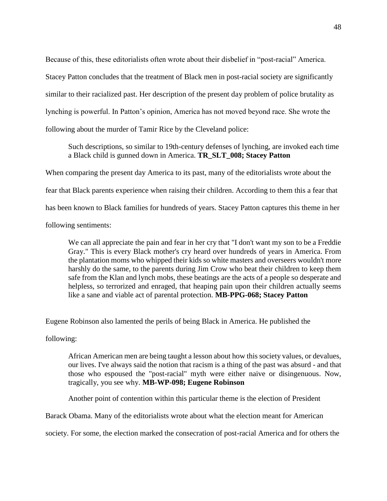Because of this, these editorialists often wrote about their disbelief in "post-racial" America. Stacey Patton concludes that the treatment of Black men in post-racial society are significantly similar to their racialized past. Her description of the present day problem of police brutality as lynching is powerful. In Patton's opinion, America has not moved beyond race. She wrote the following about the murder of Tamir Rice by the Cleveland police:

Such descriptions, so similar to 19th-century defenses of lynching, are invoked each time a Black child is gunned down in America. **TR\_SLT\_008; Stacey Patton**

When comparing the present day America to its past, many of the editorialists wrote about the fear that Black parents experience when raising their children. According to them this a fear that has been known to Black families for hundreds of years. Stacey Patton captures this theme in her following sentiments:

We can all appreciate the pain and fear in her cry that "I don't want my son to be a Freddie Gray." This is every Black mother's cry heard over hundreds of years in America. From the plantation moms who whipped their kids so white masters and overseers wouldn't more harshly do the same, to the parents during Jim Crow who beat their children to keep them safe from the Klan and lynch mobs, these beatings are the acts of a people so desperate and helpless, so terrorized and enraged, that heaping pain upon their children actually seems like a sane and viable act of parental protection. **MB-PPG-068; Stacey Patton**

Eugene Robinson also lamented the perils of being Black in America. He published the

following:

African American men are being taught a lesson about how this society values, or devalues, our lives. I've always said the notion that racism is a thing of the past was absurd - and that those who espoused the "post-racial" myth were either naive or disingenuous. Now, tragically, you see why. **MB-WP-098; Eugene Robinson**

Another point of contention within this particular theme is the election of President

Barack Obama. Many of the editorialists wrote about what the election meant for American

society. For some, the election marked the consecration of post-racial America and for others the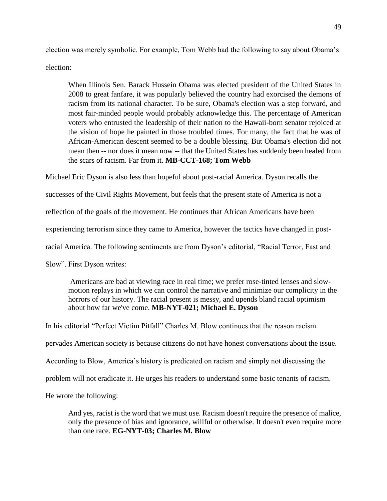election was merely symbolic. For example, Tom Webb had the following to say about Obama's election:

When Illinois Sen. Barack Hussein Obama was elected president of the United States in 2008 to great fanfare, it was popularly believed the country had exorcised the demons of racism from its national character. To be sure, Obama's election was a step forward, and most fair-minded people would probably acknowledge this. The percentage of American voters who entrusted the leadership of their nation to the Hawaii-born senator rejoiced at the vision of hope he painted in those troubled times. For many, the fact that he was of African-American descent seemed to be a double blessing. But Obama's election did not mean then -- nor does it mean now -- that the United States has suddenly been healed from the scars of racism. Far from it. **MB-CCT-168; Tom Webb**

Michael Eric Dyson is also less than hopeful about post-racial America. Dyson recalls the

successes of the Civil Rights Movement, but feels that the present state of America is not a

reflection of the goals of the movement. He continues that African Americans have been

experiencing terrorism since they came to America, however the tactics have changed in post-

racial America. The following sentiments are from Dyson's editorial, "Racial Terror, Fast and

Slow". First Dyson writes:

Americans are bad at viewing race in real time; we prefer rose-tinted lenses and slowmotion replays in which we can control the narrative and minimize our complicity in the horrors of our history. The racial present is messy, and upends bland racial optimism about how far we've come. **MB-NYT-021; Michael E. Dyson**

In his editorial "Perfect Victim Pitfall" Charles M. Blow continues that the reason racism pervades American society is because citizens do not have honest conversations about the issue. According to Blow, America's history is predicated on racism and simply not discussing the problem will not eradicate it. He urges his readers to understand some basic tenants of racism. He wrote the following:

And yes, racist is the word that we must use. Racism doesn't require the presence of malice, only the presence of bias and ignorance, willful or otherwise. It doesn't even require more than one race. **EG-NYT-03; Charles M. Blow**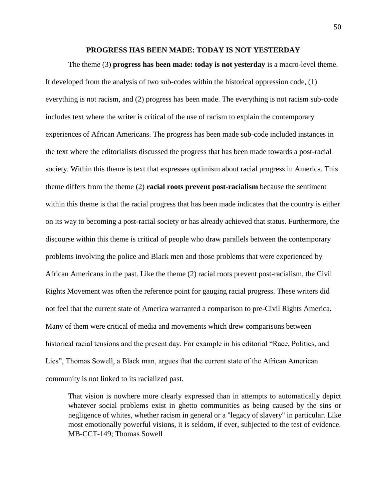# **PROGRESS HAS BEEN MADE: TODAY IS NOT YESTERDAY**

The theme (3) **progress has been made: today is not yesterday** is a macro-level theme. It developed from the analysis of two sub-codes within the historical oppression code, (1) everything is not racism, and (2) progress has been made. The everything is not racism sub-code includes text where the writer is critical of the use of racism to explain the contemporary experiences of African Americans. The progress has been made sub-code included instances in the text where the editorialists discussed the progress that has been made towards a post-racial society. Within this theme is text that expresses optimism about racial progress in America. This theme differs from the theme (2) **racial roots prevent post-racialism** because the sentiment within this theme is that the racial progress that has been made indicates that the country is either on its way to becoming a post-racial society or has already achieved that status. Furthermore, the discourse within this theme is critical of people who draw parallels between the contemporary problems involving the police and Black men and those problems that were experienced by African Americans in the past. Like the theme (2) racial roots prevent post-racialism, the Civil Rights Movement was often the reference point for gauging racial progress. These writers did not feel that the current state of America warranted a comparison to pre-Civil Rights America. Many of them were critical of media and movements which drew comparisons between historical racial tensions and the present day. For example in his editorial "Race, Politics, and Lies", Thomas Sowell, a Black man, argues that the current state of the African American community is not linked to its racialized past.

That vision is nowhere more clearly expressed than in attempts to automatically depict whatever social problems exist in ghetto communities as being caused by the sins or negligence of whites, whether racism in general or a "legacy of slavery" in particular. Like most emotionally powerful visions, it is seldom, if ever, subjected to the test of evidence. MB-CCT-149; Thomas Sowell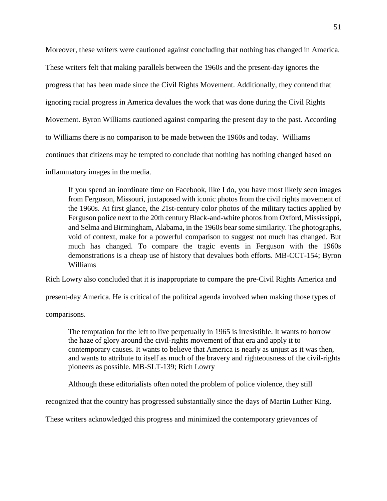Moreover, these writers were cautioned against concluding that nothing has changed in America. These writers felt that making parallels between the 1960s and the present-day ignores the progress that has been made since the Civil Rights Movement. Additionally, they contend that ignoring racial progress in America devalues the work that was done during the Civil Rights Movement. Byron Williams cautioned against comparing the present day to the past. According to Williams there is no comparison to be made between the 1960s and today. Williams continues that citizens may be tempted to conclude that nothing has nothing changed based on inflammatory images in the media.

If you spend an inordinate time on Facebook, like I do, you have most likely seen images from Ferguson, Missouri, juxtaposed with iconic photos from the civil rights movement of the 1960s. At first glance, the 21st-century color photos of the military tactics applied by Ferguson police next to the 20th century Black-and-white photos from Oxford, Mississippi, and Selma and Birmingham, Alabama, in the 1960s bear some similarity. The photographs, void of context, make for a powerful comparison to suggest not much has changed. But much has changed. To compare the tragic events in Ferguson with the 1960s demonstrations is a cheap use of history that devalues both efforts. MB-CCT-154; Byron Williams

Rich Lowry also concluded that it is inappropriate to compare the pre-Civil Rights America and

present-day America. He is critical of the political agenda involved when making those types of

comparisons.

The temptation for the left to live perpetually in 1965 is irresistible. It wants to borrow the haze of glory around the civil-rights movement of that era and apply it to contemporary causes. It wants to believe that America is nearly as unjust as it was then, and wants to attribute to itself as much of the bravery and righteousness of the civil-rights pioneers as possible. MB-SLT-139; Rich Lowry

Although these editorialists often noted the problem of police violence, they still

recognized that the country has progressed substantially since the days of Martin Luther King.

These writers acknowledged this progress and minimized the contemporary grievances of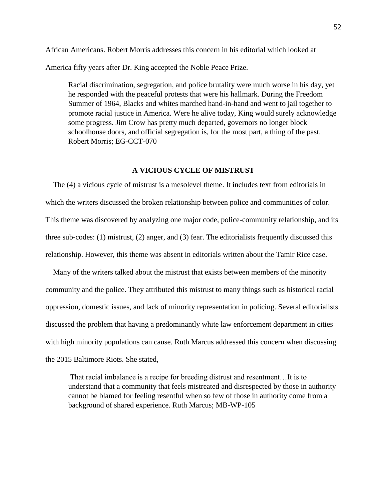African Americans. Robert Morris addresses this concern in his editorial which looked at America fifty years after Dr. King accepted the Noble Peace Prize.

Racial discrimination, segregation, and police brutality were much worse in his day, yet he responded with the peaceful protests that were his hallmark. During the Freedom Summer of 1964, Blacks and whites marched hand-in-hand and went to jail together to promote racial justice in America. Were he alive today, King would surely acknowledge some progress. Jim Crow has pretty much departed, governors no longer block schoolhouse doors, and official segregation is, for the most part, a thing of the past. Robert Morris; EG-CCT-070

# **A VICIOUS CYCLE OF MISTRUST**

 The (4) a vicious cycle of mistrust is a mesolevel theme. It includes text from editorials in which the writers discussed the broken relationship between police and communities of color. This theme was discovered by analyzing one major code, police-community relationship, and its three sub-codes: (1) mistrust, (2) anger, and (3) fear. The editorialists frequently discussed this relationship. However, this theme was absent in editorials written about the Tamir Rice case.

 Many of the writers talked about the mistrust that exists between members of the minority community and the police. They attributed this mistrust to many things such as historical racial oppression, domestic issues, and lack of minority representation in policing. Several editorialists discussed the problem that having a predominantly white law enforcement department in cities with high minority populations can cause. Ruth Marcus addressed this concern when discussing the 2015 Baltimore Riots. She stated,

That racial imbalance is a recipe for breeding distrust and resentment…It is to understand that a community that feels mistreated and disrespected by those in authority cannot be blamed for feeling resentful when so few of those in authority come from a background of shared experience. Ruth Marcus; MB-WP-105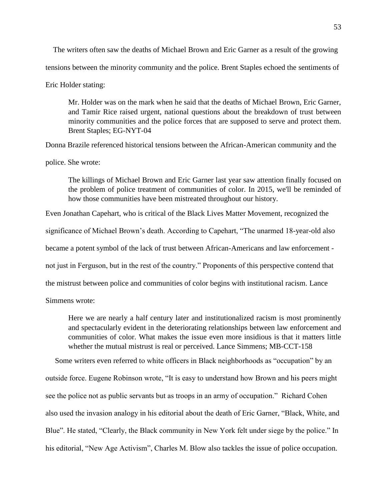The writers often saw the deaths of Michael Brown and Eric Garner as a result of the growing tensions between the minority community and the police. Brent Staples echoed the sentiments of Eric Holder stating:

Mr. Holder was on the mark when he said that the deaths of Michael Brown, Eric Garner, and Tamir Rice raised urgent, national questions about the breakdown of trust between minority communities and the police forces that are supposed to serve and protect them. Brent Staples; EG-NYT-04

Donna Brazile referenced historical tensions between the African-American community and the police. She wrote:

The killings of Michael Brown and Eric Garner last year saw attention finally focused on the problem of police treatment of communities of color. In 2015, we'll be reminded of how those communities have been mistreated throughout our history.

Even Jonathan Capehart, who is critical of the Black Lives Matter Movement, recognized the

significance of Michael Brown's death. According to Capehart, "The unarmed 18-year-old also

became a potent symbol of the lack of trust between African-Americans and law enforcement -

not just in Ferguson, but in the rest of the country." Proponents of this perspective contend that

the mistrust between police and communities of color begins with institutional racism. Lance

Simmens wrote:

Here we are nearly a half century later and institutionalized racism is most prominently and spectacularly evident in the deteriorating relationships between law enforcement and communities of color. What makes the issue even more insidious is that it matters little whether the mutual mistrust is real or perceived. Lance Simmens; MB-CCT-158

 Some writers even referred to white officers in Black neighborhoods as "occupation" by an outside force. Eugene Robinson wrote, "It is easy to understand how Brown and his peers might see the police not as public servants but as troops in an army of occupation." Richard Cohen also used the invasion analogy in his editorial about the death of Eric Garner, "Black, White, and Blue". He stated, "Clearly, the Black community in New York felt under siege by the police." In his editorial, "New Age Activism", Charles M. Blow also tackles the issue of police occupation.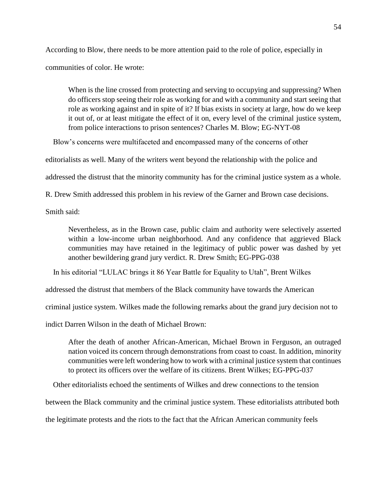According to Blow, there needs to be more attention paid to the role of police, especially in

communities of color. He wrote:

When is the line crossed from protecting and serving to occupying and suppressing? When do officers stop seeing their role as working for and with a community and start seeing that role as working against and in spite of it? If bias exists in society at large, how do we keep it out of, or at least mitigate the effect of it on, every level of the criminal justice system, from police interactions to prison sentences? Charles M. Blow; EG-NYT-08

Blow's concerns were multifaceted and encompassed many of the concerns of other

editorialists as well. Many of the writers went beyond the relationship with the police and

addressed the distrust that the minority community has for the criminal justice system as a whole.

R. Drew Smith addressed this problem in his review of the Garner and Brown case decisions.

Smith said:

Nevertheless, as in the Brown case, public claim and authority were selectively asserted within a low-income urban neighborhood. And any confidence that aggrieved Black communities may have retained in the legitimacy of public power was dashed by yet another bewildering grand jury verdict. R. Drew Smith; EG-PPG-038

In his editorial "LULAC brings it 86 Year Battle for Equality to Utah", Brent Wilkes

addressed the distrust that members of the Black community have towards the American

criminal justice system. Wilkes made the following remarks about the grand jury decision not to

indict Darren Wilson in the death of Michael Brown:

After the death of another African-American, Michael Brown in Ferguson, an outraged nation voiced its concern through demonstrations from coast to coast. In addition, minority communities were left wondering how to work with a criminal justice system that continues to protect its officers over the welfare of its citizens. Brent Wilkes; EG-PPG-037

Other editorialists echoed the sentiments of Wilkes and drew connections to the tension

between the Black community and the criminal justice system. These editorialists attributed both

the legitimate protests and the riots to the fact that the African American community feels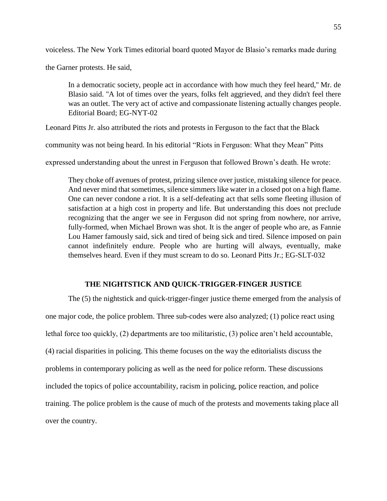voiceless. The New York Times editorial board quoted Mayor de Blasio's remarks made during

the Garner protests. He said,

In a democratic society, people act in accordance with how much they feel heard,'' Mr. de Blasio said. ''A lot of times over the years, folks felt aggrieved, and they didn't feel there was an outlet. The very act of active and compassionate listening actually changes people. Editorial Board; EG-NYT-02

Leonard Pitts Jr. also attributed the riots and protests in Ferguson to the fact that the Black

community was not being heard. In his editorial "Riots in Ferguson: What they Mean" Pitts

expressed understanding about the unrest in Ferguson that followed Brown's death. He wrote:

They choke off avenues of protest, prizing silence over justice, mistaking silence for peace. And never mind that sometimes, silence simmers like water in a closed pot on a high flame. One can never condone a riot. It is a self-defeating act that sells some fleeting illusion of satisfaction at a high cost in property and life. But understanding this does not preclude recognizing that the anger we see in Ferguson did not spring from nowhere, nor arrive, fully-formed, when Michael Brown was shot. It is the anger of people who are, as Fannie Lou Hamer famously said, sick and tired of being sick and tired. Silence imposed on pain cannot indefinitely endure. People who are hurting will always, eventually, make themselves heard. Even if they must scream to do so. Leonard Pitts Jr.; EG-SLT-032

### **THE NIGHTSTICK AND QUICK-TRIGGER-FINGER JUSTICE**

The (5) the nightstick and quick-trigger-finger justice theme emerged from the analysis of one major code, the police problem. Three sub-codes were also analyzed; (1) police react using lethal force too quickly, (2) departments are too militaristic, (3) police aren't held accountable, (4) racial disparities in policing. This theme focuses on the way the editorialists discuss the problems in contemporary policing as well as the need for police reform. These discussions included the topics of police accountability, racism in policing, police reaction, and police training. The police problem is the cause of much of the protests and movements taking place all over the country.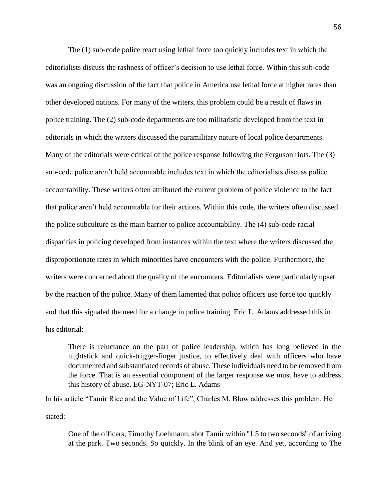The (1) sub-code police react using lethal force too quickly includes text in which the editorialists discuss the rashness of officer's decision to use lethal force. Within this sub-code was an ongoing discussion of the fact that police in America use lethal force at higher rates than other developed nations. For many of the writers, this problem could be a result of flaws in police training. The (2) sub-code departments are too militaristic developed from the text in editorials in which the writers discussed the paramilitary nature of local police departments. Many of the editorials were critical of the police response following the Ferguson riots. The (3) sub-code police aren't held accountable includes text in which the editorialists discuss police accountability. These writers often attributed the current problem of police violence to the fact that police aren't held accountable for their actions. Within this code, the writers often discussed the police subculture as the main barrier to police accountability. The (4) sub-code racial disparities in policing developed from instances within the text where the writers discussed the disproportionate rates in which minorities have encounters with the police. Furthermore, the writers were concerned about the quality of the encounters. Editorialists were particularly upset by the reaction of the police. Many of them lamented that police officers use force too quickly and that this signaled the need for a change in police training. Eric L. Adams addressed this in his editorial:

There is reluctance on the part of police leadership, which has long believed in the nightstick and quick-trigger-finger justice, to effectively deal with officers who have documented and substantiated records of abuse. These individuals need to be removed from the force. That is an essential component of the larger response we must have to address this history of abuse. EG-NYT-07; Eric L. Adams

In his article "Tamir Rice and the Value of Life", Charles M. Blow addresses this problem. He stated:

One of the officers, Timothy Loehmann, shot Tamir within ''1.5 to two seconds'' of arriving at the park. Two seconds. So quickly. In the blink of an eye. And yet, according to The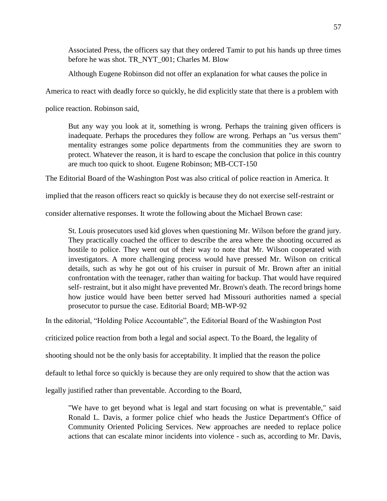Associated Press, the officers say that they ordered Tamir to put his hands up three times before he was shot. TR\_NYT\_001; Charles M. Blow

Although Eugene Robinson did not offer an explanation for what causes the police in

America to react with deadly force so quickly, he did explicitly state that there is a problem with

police reaction. Robinson said,

But any way you look at it, something is wrong. Perhaps the training given officers is inadequate. Perhaps the procedures they follow are wrong. Perhaps an "us versus them" mentality estranges some police departments from the communities they are sworn to protect. Whatever the reason, it is hard to escape the conclusion that police in this country are much too quick to shoot. Eugene Robinson; MB-CCT-150

The Editorial Board of the Washington Post was also critical of police reaction in America. It

implied that the reason officers react so quickly is because they do not exercise self-restraint or

consider alternative responses. It wrote the following about the Michael Brown case:

St. Louis prosecutors used kid gloves when questioning Mr. Wilson before the grand jury. They practically coached the officer to describe the area where the shooting occurred as hostile to police. They went out of their way to note that Mr. Wilson cooperated with investigators. A more challenging process would have pressed Mr. Wilson on critical details, such as why he got out of his cruiser in pursuit of Mr. Brown after an initial confrontation with the teenager, rather than waiting for backup. That would have required self- restraint, but it also might have prevented Mr. Brown's death. The record brings home how justice would have been better served had Missouri authorities named a special prosecutor to pursue the case. Editorial Board; MB-WP-92

In the editorial, "Holding Police Accountable", the Editorial Board of the Washington Post

criticized police reaction from both a legal and social aspect. To the Board, the legality of

shooting should not be the only basis for acceptability. It implied that the reason the police

default to lethal force so quickly is because they are only required to show that the action was

legally justified rather than preventable. According to the Board,

"We have to get beyond what is legal and start focusing on what is preventable," said Ronald L. Davis, a former police chief who heads the Justice Department's Office of Community Oriented Policing Services. New approaches are needed to replace police actions that can escalate minor incidents into violence - such as, according to Mr. Davis,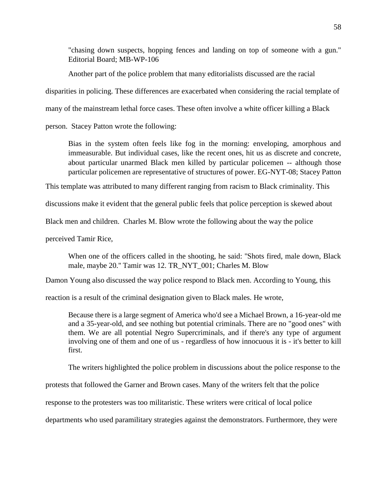"chasing down suspects, hopping fences and landing on top of someone with a gun." Editorial Board; MB-WP-106

Another part of the police problem that many editorialists discussed are the racial

disparities in policing. These differences are exacerbated when considering the racial template of

many of the mainstream lethal force cases. These often involve a white officer killing a Black

person. Stacey Patton wrote the following:

Bias in the system often feels like fog in the morning: enveloping, amorphous and immeasurable. But individual cases, like the recent ones, hit us as discrete and concrete, about particular unarmed Black men killed by particular policemen -- although those particular policemen are representative of structures of power. EG-NYT-08; Stacey Patton

This template was attributed to many different ranging from racism to Black criminality. This

discussions make it evident that the general public feels that police perception is skewed about

Black men and children. Charles M. Blow wrote the following about the way the police

perceived Tamir Rice,

When one of the officers called in the shooting, he said: ''Shots fired, male down, Black male, maybe 20.'' Tamir was 12. TR\_NYT\_001; Charles M. Blow

Damon Young also discussed the way police respond to Black men. According to Young, this

reaction is a result of the criminal designation given to Black males. He wrote,

Because there is a large segment of America who'd see a Michael Brown, a 16-year-old me and a 35-year-old, and see nothing but potential criminals. There are no "good ones" with them. We are all potential Negro Supercriminals, and if there's any type of argument involving one of them and one of us - regardless of how innocuous it is - it's better to kill first.

The writers highlighted the police problem in discussions about the police response to the

protests that followed the Garner and Brown cases. Many of the writers felt that the police

response to the protesters was too militaristic. These writers were critical of local police

departments who used paramilitary strategies against the demonstrators. Furthermore, they were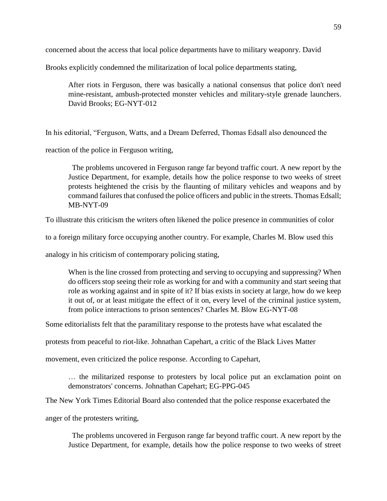concerned about the access that local police departments have to military weaponry. David

Brooks explicitly condemned the militarization of local police departments stating,

After riots in Ferguson, there was basically a national consensus that police don't need mine-resistant, ambush-protected monster vehicles and military-style grenade launchers. David Brooks; EG-NYT-012

In his editorial, "Ferguson, Watts, and a Dream Deferred, Thomas Edsall also denounced the

reaction of the police in Ferguson writing,

 The problems uncovered in Ferguson range far beyond traffic court. A new report by the Justice Department, for example, details how the police response to two weeks of street protests heightened the crisis by the flaunting of military vehicles and weapons and by command failures that confused the police officers and public in the streets. Thomas Edsall; MB-NYT-09

To illustrate this criticism the writers often likened the police presence in communities of color

to a foreign military force occupying another country. For example, Charles M. Blow used this

analogy in his criticism of contemporary policing stating,

When is the line crossed from protecting and serving to occupying and suppressing? When do officers stop seeing their role as working for and with a community and start seeing that role as working against and in spite of it? If bias exists in society at large, how do we keep it out of, or at least mitigate the effect of it on, every level of the criminal justice system, from police interactions to prison sentences? Charles M. Blow EG-NYT-08

Some editorialists felt that the paramilitary response to the protests have what escalated the

protests from peaceful to riot-like. Johnathan Capehart, a critic of the Black Lives Matter

movement, even criticized the police response. According to Capehart,

… the militarized response to protesters by local police put an exclamation point on demonstrators' concerns. Johnathan Capehart; EG-PPG-045

The New York Times Editorial Board also contended that the police response exacerbated the

anger of the protesters writing,

 The problems uncovered in Ferguson range far beyond traffic court. A new report by the Justice Department, for example, details how the police response to two weeks of street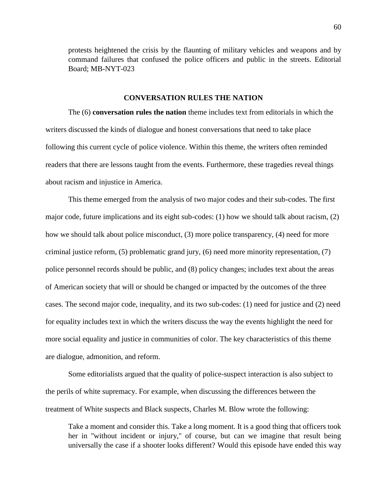protests heightened the crisis by the flaunting of military vehicles and weapons and by command failures that confused the police officers and public in the streets. Editorial Board; MB-NYT-023

# **CONVERSATION RULES THE NATION**

The (6) **conversation rules the nation** theme includes text from editorials in which the writers discussed the kinds of dialogue and honest conversations that need to take place following this current cycle of police violence. Within this theme, the writers often reminded readers that there are lessons taught from the events. Furthermore, these tragedies reveal things about racism and injustice in America.

This theme emerged from the analysis of two major codes and their sub-codes. The first major code, future implications and its eight sub-codes: (1) how we should talk about racism, (2) how we should talk about police misconduct, (3) more police transparency, (4) need for more criminal justice reform, (5) problematic grand jury, (6) need more minority representation, (7) police personnel records should be public, and (8) policy changes; includes text about the areas of American society that will or should be changed or impacted by the outcomes of the three cases. The second major code, inequality, and its two sub-codes: (1) need for justice and (2) need for equality includes text in which the writers discuss the way the events highlight the need for more social equality and justice in communities of color. The key characteristics of this theme are dialogue, admonition, and reform.

Some editorialists argued that the quality of police-suspect interaction is also subject to the perils of white supremacy. For example, when discussing the differences between the treatment of White suspects and Black suspects, Charles M. Blow wrote the following:

Take a moment and consider this. Take a long moment. It is a good thing that officers took her in ''without incident or injury,'' of course, but can we imagine that result being universally the case if a shooter looks different? Would this episode have ended this way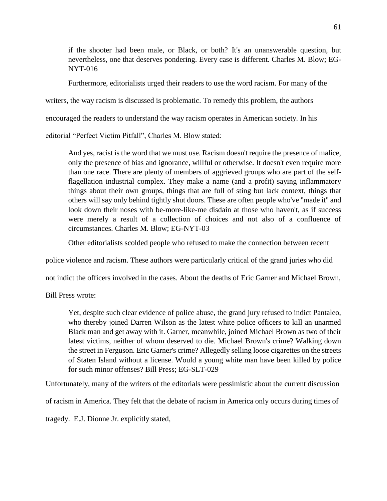if the shooter had been male, or Black, or both? It's an unanswerable question, but nevertheless, one that deserves pondering. Every case is different. Charles M. Blow; EG-NYT-016

Furthermore, editorialists urged their readers to use the word racism. For many of the

writers, the way racism is discussed is problematic. To remedy this problem, the authors

encouraged the readers to understand the way racism operates in American society. In his

editorial "Perfect Victim Pitfall", Charles M. Blow stated:

And yes, racist is the word that we must use. Racism doesn't require the presence of malice, only the presence of bias and ignorance, willful or otherwise. It doesn't even require more than one race. There are plenty of members of aggrieved groups who are part of the selfflagellation industrial complex. They make a name (and a profit) saying inflammatory things about their own groups, things that are full of sting but lack context, things that others will say only behind tightly shut doors. These are often people who've ''made it'' and look down their noses with be-more-like-me disdain at those who haven't, as if success were merely a result of a collection of choices and not also of a confluence of circumstances. Charles M. Blow; EG-NYT-03

Other editorialists scolded people who refused to make the connection between recent

police violence and racism. These authors were particularly critical of the grand juries who did

not indict the officers involved in the cases. About the deaths of Eric Garner and Michael Brown,

Bill Press wrote:

Yet, despite such clear evidence of police abuse, the grand jury refused to indict Pantaleo, who thereby joined Darren Wilson as the latest white police officers to kill an unarmed Black man and get away with it. Garner, meanwhile, joined Michael Brown as two of their latest victims, neither of whom deserved to die. Michael Brown's crime? Walking down the street in Ferguson. Eric Garner's crime? Allegedly selling loose cigarettes on the streets of Staten Island without a license. Would a young white man have been killed by police for such minor offenses? Bill Press; EG-SLT-029

Unfortunately, many of the writers of the editorials were pessimistic about the current discussion

of racism in America. They felt that the debate of racism in America only occurs during times of

tragedy. E.J. Dionne Jr. explicitly stated,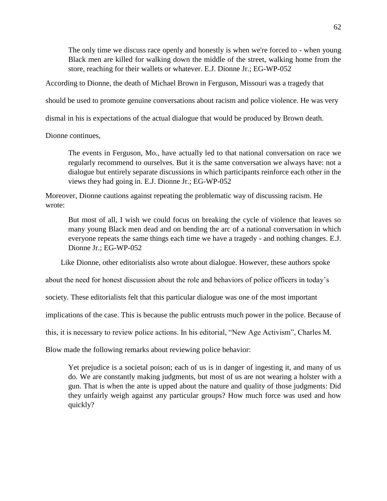The only time we discuss race openly and honestly is when we're forced to - when young Black men are killed for walking down the middle of the street, walking home from the store, reaching for their wallets or whatever. E.J. Dionne Jr.; EG-WP-052

According to Dionne, the death of Michael Brown in Ferguson, Missouri was a tragedy that

should be used to promote genuine conversations about racism and police violence. He was very

dismal in his is expectations of the actual dialogue that would be produced by Brown death.

Dionne continues,

The events in Ferguson, Mo., have actually led to that national conversation on race we regularly recommend to ourselves. But it is the same conversation we always have: not a dialogue but entirely separate discussions in which participants reinforce each other in the views they had going in. E.J. Dionne Jr.; EG-WP-052

Moreover, Dionne cautions against repeating the problematic way of discussing racism. He wrote:

But most of all, I wish we could focus on breaking the cycle of violence that leaves so many young Black men dead and on bending the arc of a national conversation in which everyone repeats the same things each time we have a tragedy - and nothing changes. E.J. Dionne Jr.; EG-WP-052

Like Dionne, other editorialists also wrote about dialogue. However, these authors spoke

about the need for honest discussion about the role and behaviors of police officers in today's

society. These editorialists felt that this particular dialogue was one of the most important

implications of the case. This is because the public entrusts much power in the police. Because of

this, it is necessary to review police actions. In his editorial, "New Age Activism", Charles M.

Blow made the following remarks about reviewing police behavior:

Yet prejudice is a societal poison; each of us is in danger of ingesting it, and many of us do. We are constantly making judgments, but most of us are not wearing a holster with a gun. That is when the ante is upped about the nature and quality of those judgments: Did they unfairly weigh against any particular groups? How much force was used and how quickly?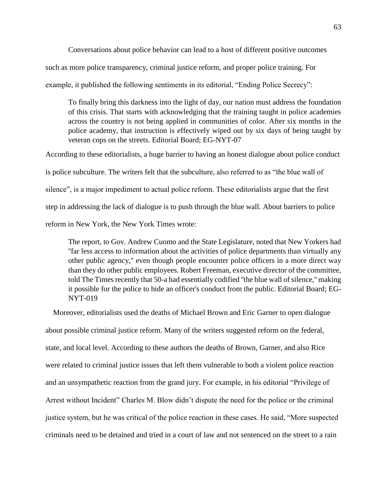Conversations about police behavior can lead to a host of different positive outcomes

such as more police transparency, criminal justice reform, and proper police training. For

example, it published the following sentiments in its editorial, "Ending Police Secrecy":

To finally bring this darkness into the light of day, our nation must address the foundation of this crisis. That starts with acknowledging that the training taught in police academies across the country is not being applied in communities of color. After six months in the police academy, that instruction is effectively wiped out by six days of being taught by veteran cops on the streets. Editorial Board; EG-NYT-07

According to these editorialists, a huge barrier to having an honest dialogue about police conduct is police subculture. The writers felt that the subculture, also referred to as "the blue wall of silence", is a major impediment to actual police reform. These editorialists argue that the first step in addressing the lack of dialogue is to push through the blue wall. About barriers to police reform in New York, the New York Times wrote:

The report, to Gov. Andrew Cuomo and the State Legislature, noted that New Yorkers had ''far less access to information about the activities of police departments than virtually any other public agency,'' even though people encounter police officers in a more direct way than they do other public employees. Robert Freeman, executive director of the committee, told The Times recently that 50-a had essentially codified ''the blue wall of silence,'' making it possible for the police to hide an officer's conduct from the public. Editorial Board; EG-NYT-019

 Moreover, editorialists used the deaths of Michael Brown and Eric Garner to open dialogue about possible criminal justice reform. Many of the writers suggested reform on the federal, state, and local level. According to these authors the deaths of Brown, Garner, and also Rice were related to criminal justice issues that left them vulnerable to both a violent police reaction and an unsympathetic reaction from the grand jury. For example, in his editorial "Privilege of Arrest without Incident" Charles M. Blow didn't dispute the need for the police or the criminal justice system, but he was critical of the police reaction in these cases. He said, "More suspected criminals need to be detained and tried in a court of law and not sentenced on the street to a rain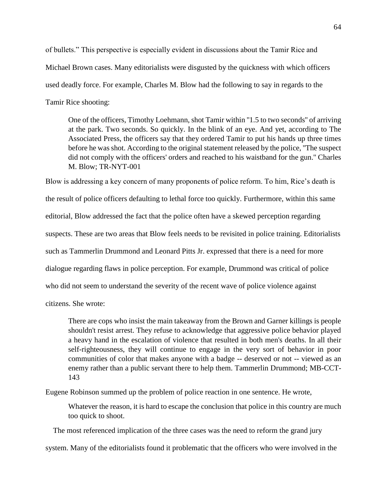of bullets." This perspective is especially evident in discussions about the Tamir Rice and Michael Brown cases. Many editorialists were disgusted by the quickness with which officers used deadly force. For example, Charles M. Blow had the following to say in regards to the Tamir Rice shooting:

One of the officers, Timothy Loehmann, shot Tamir within "1.5 to two seconds" of arriving at the park. Two seconds. So quickly. In the blink of an eye. And yet, according to The Associated Press, the officers say that they ordered Tamir to put his hands up three times before he was shot. According to the original statement released by the police, ''The suspect did not comply with the officers' orders and reached to his waistband for the gun.'' Charles M. Blow; TR-NYT-001

Blow is addressing a key concern of many proponents of police reform. To him, Rice's death is the result of police officers defaulting to lethal force too quickly. Furthermore, within this same editorial, Blow addressed the fact that the police often have a skewed perception regarding suspects. These are two areas that Blow feels needs to be revisited in police training. Editorialists such as Tammerlin Drummond and Leonard Pitts Jr. expressed that there is a need for more dialogue regarding flaws in police perception. For example, Drummond was critical of police who did not seem to understand the severity of the recent wave of police violence against

citizens. She wrote:

There are cops who insist the main takeaway from the Brown and Garner killings is people shouldn't resist arrest. They refuse to acknowledge that aggressive police behavior played a heavy hand in the escalation of violence that resulted in both men's deaths. In all their self-righteousness, they will continue to engage in the very sort of behavior in poor communities of color that makes anyone with a badge -- deserved or not -- viewed as an enemy rather than a public servant there to help them. Tammerlin Drummond; MB-CCT-143

Eugene Robinson summed up the problem of police reaction in one sentence. He wrote,

Whatever the reason, it is hard to escape the conclusion that police in this country are much too quick to shoot.

The most referenced implication of the three cases was the need to reform the grand jury

system. Many of the editorialists found it problematic that the officers who were involved in the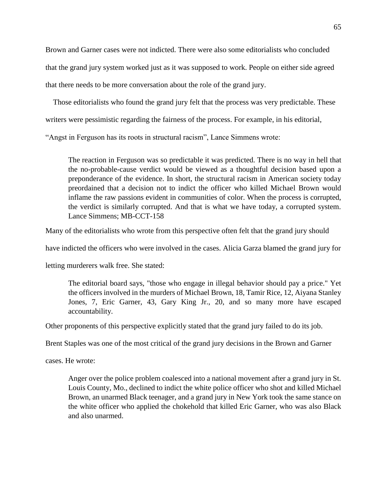Brown and Garner cases were not indicted. There were also some editorialists who concluded that the grand jury system worked just as it was supposed to work. People on either side agreed that there needs to be more conversation about the role of the grand jury.

 Those editorialists who found the grand jury felt that the process was very predictable. These writers were pessimistic regarding the fairness of the process. For example, in his editorial,

"Angst in Ferguson has its roots in structural racism", Lance Simmens wrote:

The reaction in Ferguson was so predictable it was predicted. There is no way in hell that the no-probable-cause verdict would be viewed as a thoughtful decision based upon a preponderance of the evidence. In short, the structural racism in American society today preordained that a decision not to indict the officer who killed Michael Brown would inflame the raw passions evident in communities of color. When the process is corrupted, the verdict is similarly corrupted. And that is what we have today, a corrupted system. Lance Simmens; MB-CCT-158

Many of the editorialists who wrote from this perspective often felt that the grand jury should

have indicted the officers who were involved in the cases. Alicia Garza blamed the grand jury for

letting murderers walk free. She stated:

The editorial board says, "those who engage in illegal behavior should pay a price." Yet the officers involved in the murders of Michael Brown, 18, Tamir Rice, 12, Aiyana Stanley Jones, 7, Eric Garner, 43, Gary King Jr., 20, and so many more have escaped accountability.

Other proponents of this perspective explicitly stated that the grand jury failed to do its job.

Brent Staples was one of the most critical of the grand jury decisions in the Brown and Garner

cases. He wrote:

Anger over the police problem coalesced into a national movement after a grand jury in St. Louis County, Mo., declined to indict the white police officer who shot and killed Michael Brown, an unarmed Black teenager, and a grand jury in New York took the same stance on the white officer who applied the chokehold that killed Eric Garner, who was also Black and also unarmed.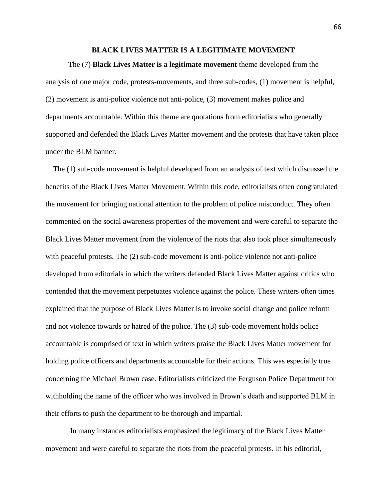### **BLACK LIVES MATTER IS A LEGITIMATE MOVEMENT**

The (7) **Black Lives Matter is a legitimate movement** theme developed from the analysis of one major code, protests-movements, and three sub-codes, (1) movement is helpful, (2) movement is anti-police violence not anti-police, (3) movement makes police and departments accountable. Within this theme are quotations from editorialists who generally supported and defended the Black Lives Matter movement and the protests that have taken place under the BLM banner.

 The (1) sub-code movement is helpful developed from an analysis of text which discussed the benefits of the Black Lives Matter Movement. Within this code, editorialists often congratulated the movement for bringing national attention to the problem of police misconduct. They often commented on the social awareness properties of the movement and were careful to separate the Black Lives Matter movement from the violence of the riots that also took place simultaneously with peaceful protests. The (2) sub-code movement is anti-police violence not anti-police developed from editorials in which the writers defended Black Lives Matter against critics who contended that the movement perpetuates violence against the police. These writers often times explained that the purpose of Black Lives Matter is to invoke social change and police reform and not violence towards or hatred of the police. The (3) sub-code movement holds police accountable is comprised of text in which writers praise the Black Lives Matter movement for holding police officers and departments accountable for their actions. This was especially true concerning the Michael Brown case. Editorialists criticized the Ferguson Police Department for withholding the name of the officer who was involved in Brown's death and supported BLM in their efforts to push the department to be thorough and impartial.

In many instances editorialists emphasized the legitimacy of the Black Lives Matter movement and were careful to separate the riots from the peaceful protests. In his editorial,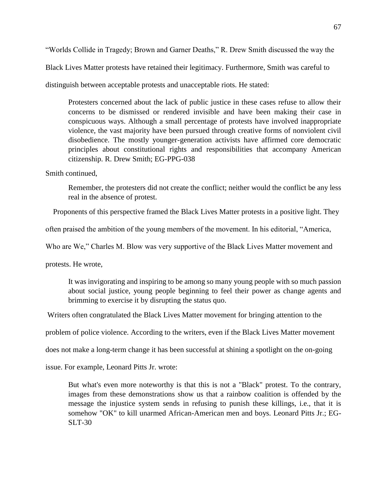"Worlds Collide in Tragedy; Brown and Garner Deaths," R. Drew Smith discussed the way the

Black Lives Matter protests have retained their legitimacy. Furthermore, Smith was careful to

distinguish between acceptable protests and unacceptable riots. He stated:

Protesters concerned about the lack of public justice in these cases refuse to allow their concerns to be dismissed or rendered invisible and have been making their case in conspicuous ways. Although a small percentage of protests have involved inappropriate violence, the vast majority have been pursued through creative forms of nonviolent civil disobedience. The mostly younger-generation activists have affirmed core democratic principles about constitutional rights and responsibilities that accompany American citizenship. R. Drew Smith; EG-PPG-038

Smith continued,

Remember, the protesters did not create the conflict; neither would the conflict be any less real in the absence of protest.

Proponents of this perspective framed the Black Lives Matter protests in a positive light. They

often praised the ambition of the young members of the movement. In his editorial, "America,

Who are We," Charles M. Blow was very supportive of the Black Lives Matter movement and

protests. He wrote,

It was invigorating and inspiring to be among so many young people with so much passion about social justice, young people beginning to feel their power as change agents and brimming to exercise it by disrupting the status quo.

Writers often congratulated the Black Lives Matter movement for bringing attention to the

problem of police violence. According to the writers, even if the Black Lives Matter movement

does not make a long-term change it has been successful at shining a spotlight on the on-going

issue. For example, Leonard Pitts Jr. wrote:

But what's even more noteworthy is that this is not a "Black" protest. To the contrary, images from these demonstrations show us that a rainbow coalition is offended by the message the injustice system sends in refusing to punish these killings, i.e., that it is somehow "OK" to kill unarmed African-American men and boys. Leonard Pitts Jr.; EG-SLT-30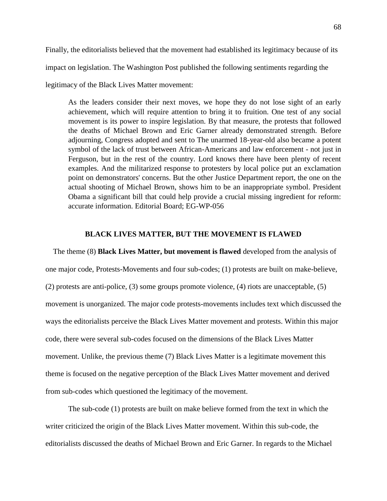Finally, the editorialists believed that the movement had established its legitimacy because of its impact on legislation. The Washington Post published the following sentiments regarding the legitimacy of the Black Lives Matter movement:

As the leaders consider their next moves, we hope they do not lose sight of an early achievement, which will require attention to bring it to fruition. One test of any social movement is its power to inspire legislation. By that measure, the protests that followed the deaths of Michael Brown and Eric Garner already demonstrated strength. Before adjourning, Congress adopted and sent to The unarmed 18-year-old also became a potent symbol of the lack of trust between African-Americans and law enforcement - not just in Ferguson, but in the rest of the country. Lord knows there have been plenty of recent examples. And the militarized response to protesters by local police put an exclamation point on demonstrators' concerns. But the other Justice Department report, the one on the actual shooting of Michael Brown, shows him to be an inappropriate symbol. President Obama a significant bill that could help provide a crucial missing ingredient for reform: accurate information. Editorial Board; EG-WP-056

### **BLACK LIVES MATTER, BUT THE MOVEMENT IS FLAWED**

 The theme (8) **Black Lives Matter, but movement is flawed** developed from the analysis of one major code, Protests-Movements and four sub-codes; (1) protests are built on make-believe, (2) protests are anti-police, (3) some groups promote violence, (4) riots are unacceptable, (5) movement is unorganized. The major code protests-movements includes text which discussed the ways the editorialists perceive the Black Lives Matter movement and protests. Within this major code, there were several sub-codes focused on the dimensions of the Black Lives Matter movement. Unlike, the previous theme (7) Black Lives Matter is a legitimate movement this theme is focused on the negative perception of the Black Lives Matter movement and derived from sub-codes which questioned the legitimacy of the movement.

The sub-code (1) protests are built on make believe formed from the text in which the writer criticized the origin of the Black Lives Matter movement. Within this sub-code, the editorialists discussed the deaths of Michael Brown and Eric Garner. In regards to the Michael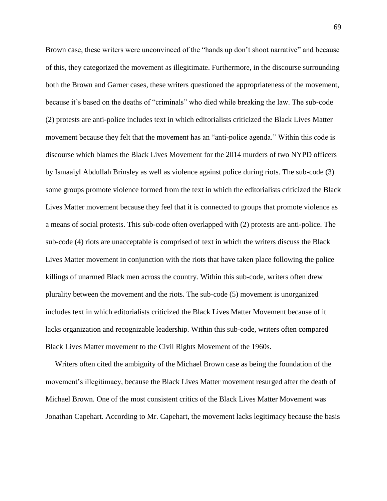Brown case, these writers were unconvinced of the "hands up don't shoot narrative" and because of this, they categorized the movement as illegitimate. Furthermore, in the discourse surrounding both the Brown and Garner cases, these writers questioned the appropriateness of the movement, because it's based on the deaths of "criminals" who died while breaking the law. The sub-code (2) protests are anti-police includes text in which editorialists criticized the Black Lives Matter movement because they felt that the movement has an "anti-police agenda." Within this code is discourse which blames the Black Lives Movement for the 2014 murders of two NYPD officers by Ismaaiyl Abdullah Brinsley as well as violence against police during riots. The sub-code (3) some groups promote violence formed from the text in which the editorialists criticized the Black Lives Matter movement because they feel that it is connected to groups that promote violence as a means of social protests. This sub-code often overlapped with (2) protests are anti-police. The sub-code (4) riots are unacceptable is comprised of text in which the writers discuss the Black Lives Matter movement in conjunction with the riots that have taken place following the police killings of unarmed Black men across the country. Within this sub-code, writers often drew plurality between the movement and the riots. The sub-code (5) movement is unorganized includes text in which editorialists criticized the Black Lives Matter Movement because of it lacks organization and recognizable leadership. Within this sub-code, writers often compared Black Lives Matter movement to the Civil Rights Movement of the 1960s.

 Writers often cited the ambiguity of the Michael Brown case as being the foundation of the movement's illegitimacy, because the Black Lives Matter movement resurged after the death of Michael Brown. One of the most consistent critics of the Black Lives Matter Movement was Jonathan Capehart. According to Mr. Capehart, the movement lacks legitimacy because the basis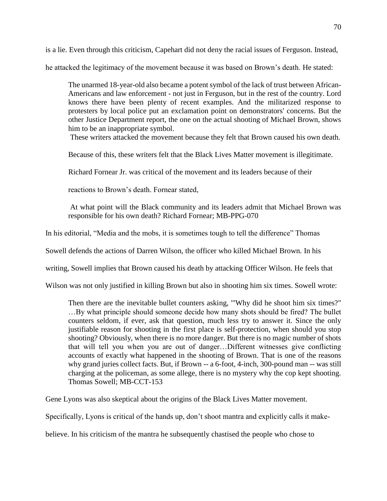is a lie. Even through this criticism, Capehart did not deny the racial issues of Ferguson. Instead,

he attacked the legitimacy of the movement because it was based on Brown's death. He stated:

The unarmed 18-year-old also became a potent symbol of the lack of trust between African-Americans and law enforcement - not just in Ferguson, but in the rest of the country. Lord knows there have been plenty of recent examples. And the militarized response to protesters by local police put an exclamation point on demonstrators' concerns. But the other Justice Department report, the one on the actual shooting of Michael Brown, shows him to be an inappropriate symbol.

These writers attacked the movement because they felt that Brown caused his own death.

Because of this, these writers felt that the Black Lives Matter movement is illegitimate.

Richard Fornear Jr. was critical of the movement and its leaders because of their

reactions to Brown's death. Fornear stated,

At what point will the Black community and its leaders admit that Michael Brown was responsible for his own death? Richard Fornear; MB-PPG-070

In his editorial, "Media and the mobs, it is sometimes tough to tell the difference" Thomas

Sowell defends the actions of Darren Wilson, the officer who killed Michael Brown. In his

writing, Sowell implies that Brown caused his death by attacking Officer Wilson. He feels that

Wilson was not only justified in killing Brown but also in shooting him six times. Sowell wrote:

Then there are the inevitable bullet counters asking, '"Why did he shoot him six times?" …By what principle should someone decide how many shots should be fired? The bullet counters seldom, if ever, ask that question, much less try to answer it. Since the only justifiable reason for shooting in the first place is self-protection, when should you stop shooting? Obviously, when there is no more danger. But there is no magic number of shots that will tell you when you are out of danger…Different witnesses give conflicting accounts of exactly what happened in the shooting of Brown. That is one of the reasons why grand juries collect facts. But, if Brown -- a 6-foot, 4-inch, 300-pound man -- was still charging at the policeman, as some allege, there is no mystery why the cop kept shooting. Thomas Sowell; MB-CCT-153

Gene Lyons was also skeptical about the origins of the Black Lives Matter movement.

Specifically, Lyons is critical of the hands up, don't shoot mantra and explicitly calls it make-

believe. In his criticism of the mantra he subsequently chastised the people who chose to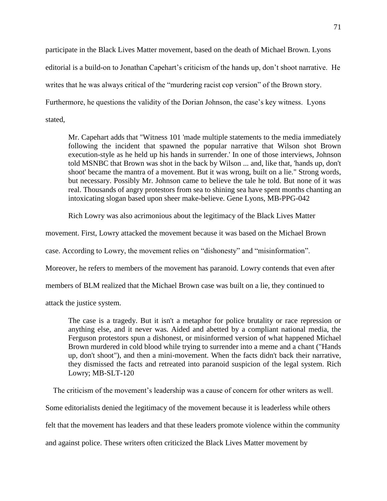participate in the Black Lives Matter movement, based on the death of Michael Brown. Lyons editorial is a build-on to Jonathan Capehart's criticism of the hands up, don't shoot narrative. He writes that he was always critical of the "murdering racist cop version" of the Brown story. Furthermore, he questions the validity of the Dorian Johnson, the case's key witness. Lyons stated,

Mr. Capehart adds that "Witness 101 'made multiple statements to the media immediately following the incident that spawned the popular narrative that Wilson shot Brown execution-style as he held up his hands in surrender.' In one of those interviews, Johnson told MSNBC that Brown was shot in the back by Wilson ... and, like that, 'hands up, don't shoot' became the mantra of a movement. But it was wrong, built on a lie." Strong words, but necessary. Possibly Mr. Johnson came to believe the tale he told. But none of it was real. Thousands of angry protestors from sea to shining sea have spent months chanting an intoxicating slogan based upon sheer make-believe. Gene Lyons, MB-PPG-042

Rich Lowry was also acrimonious about the legitimacy of the Black Lives Matter

movement. First, Lowry attacked the movement because it was based on the Michael Brown

case. According to Lowry, the movement relies on "dishonesty" and "misinformation".

Moreover, he refers to members of the movement has paranoid. Lowry contends that even after

members of BLM realized that the Michael Brown case was built on a lie, they continued to

attack the justice system.

The case is a tragedy. But it isn't a metaphor for police brutality or race repression or anything else, and it never was. Aided and abetted by a compliant national media, the Ferguson protestors spun a dishonest, or misinformed version of what happened Michael Brown murdered in cold blood while trying to surrender into a meme and a chant ("Hands up, don't shoot"), and then a mini-movement. When the facts didn't back their narrative, they dismissed the facts and retreated into paranoid suspicion of the legal system. Rich Lowry; MB-SLT-120

The criticism of the movement's leadership was a cause of concern for other writers as well.

Some editorialists denied the legitimacy of the movement because it is leaderless while others

felt that the movement has leaders and that these leaders promote violence within the community

and against police. These writers often criticized the Black Lives Matter movement by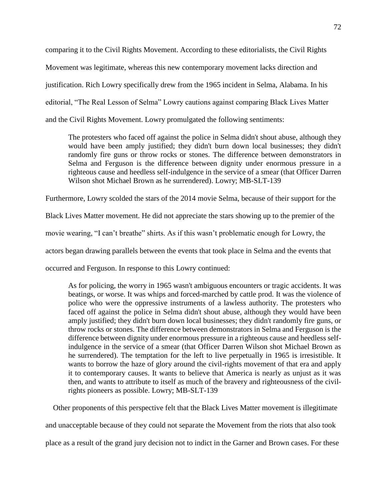comparing it to the Civil Rights Movement. According to these editorialists, the Civil Rights Movement was legitimate, whereas this new contemporary movement lacks direction and justification. Rich Lowry specifically drew from the 1965 incident in Selma, Alabama. In his editorial, "The Real Lesson of Selma" Lowry cautions against comparing Black Lives Matter and the Civil Rights Movement. Lowry promulgated the following sentiments:

The protesters who faced off against the police in Selma didn't shout abuse, although they would have been amply justified; they didn't burn down local businesses; they didn't randomly fire guns or throw rocks or stones. The difference between demonstrators in Selma and Ferguson is the difference between dignity under enormous pressure in a righteous cause and heedless self-indulgence in the service of a smear (that Officer Darren Wilson shot Michael Brown as he surrendered). Lowry; MB-SLT-139

Furthermore, Lowry scolded the stars of the 2014 movie Selma, because of their support for the

Black Lives Matter movement. He did not appreciate the stars showing up to the premier of the

movie wearing, "I can't breathe" shirts. As if this wasn't problematic enough for Lowry, the

actors began drawing parallels between the events that took place in Selma and the events that

occurred and Ferguson. In response to this Lowry continued:

As for policing, the worry in 1965 wasn't ambiguous encounters or tragic accidents. It was beatings, or worse. It was whips and forced-marched by cattle prod. It was the violence of police who were the oppressive instruments of a lawless authority. The protesters who faced off against the police in Selma didn't shout abuse, although they would have been amply justified; they didn't burn down local businesses; they didn't randomly fire guns, or throw rocks or stones. The difference between demonstrators in Selma and Ferguson is the difference between dignity under enormous pressure in a righteous cause and heedless selfindulgence in the service of a smear (that Officer Darren Wilson shot Michael Brown as he surrendered). The temptation for the left to live perpetually in 1965 is irresistible. It wants to borrow the haze of glory around the civil-rights movement of that era and apply it to contemporary causes. It wants to believe that America is nearly as unjust as it was then, and wants to attribute to itself as much of the bravery and righteousness of the civilrights pioneers as possible. Lowry; MB-SLT-139

Other proponents of this perspective felt that the Black Lives Matter movement is illegitimate

and unacceptable because of they could not separate the Movement from the riots that also took

place as a result of the grand jury decision not to indict in the Garner and Brown cases. For these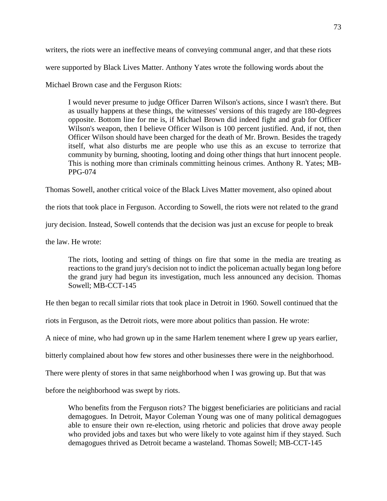writers, the riots were an ineffective means of conveying communal anger, and that these riots were supported by Black Lives Matter. Anthony Yates wrote the following words about the Michael Brown case and the Ferguson Riots:

I would never presume to judge Officer Darren Wilson's actions, since I wasn't there. But as usually happens at these things, the witnesses' versions of this tragedy are 180-degrees opposite. Bottom line for me is, if Michael Brown did indeed fight and grab for Officer Wilson's weapon, then I believe Officer Wilson is 100 percent justified. And, if not, then Officer Wilson should have been charged for the death of Mr. Brown. Besides the tragedy itself, what also disturbs me are people who use this as an excuse to terrorize that community by burning, shooting, looting and doing other things that hurt innocent people. This is nothing more than criminals committing heinous crimes. Anthony R. Yates; MB-PPG-074

Thomas Sowell, another critical voice of the Black Lives Matter movement, also opined about

the riots that took place in Ferguson. According to Sowell, the riots were not related to the grand

jury decision. Instead, Sowell contends that the decision was just an excuse for people to break

the law. He wrote:

The riots, looting and setting of things on fire that some in the media are treating as reactions to the grand jury's decision not to indict the policeman actually began long before the grand jury had begun its investigation, much less announced any decision. Thomas Sowell; MB-CCT-145

He then began to recall similar riots that took place in Detroit in 1960. Sowell continued that the

riots in Ferguson, as the Detroit riots, were more about politics than passion. He wrote:

A niece of mine, who had grown up in the same Harlem tenement where I grew up years earlier,

bitterly complained about how few stores and other businesses there were in the neighborhood.

There were plenty of stores in that same neighborhood when I was growing up. But that was

before the neighborhood was swept by riots.

Who benefits from the Ferguson riots? The biggest beneficiaries are politicians and racial demagogues. In Detroit, Mayor Coleman Young was one of many political demagogues able to ensure their own re-election, using rhetoric and policies that drove away people who provided jobs and taxes but who were likely to vote against him if they stayed. Such demagogues thrived as Detroit became a wasteland. Thomas Sowell; MB-CCT-145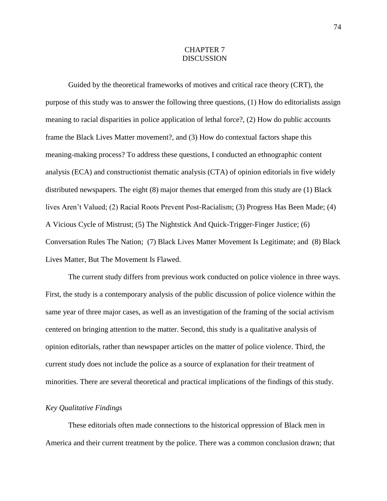# CHAPTER 7 **DISCUSSION**

Guided by the theoretical frameworks of motives and critical race theory (CRT), the purpose of this study was to answer the following three questions, (1) How do editorialists assign meaning to racial disparities in police application of lethal force?, (2) How do public accounts frame the Black Lives Matter movement?, and (3) How do contextual factors shape this meaning-making process? To address these questions, I conducted an ethnographic content analysis (ECA) and constructionist thematic analysis (CTA) of opinion editorials in five widely distributed newspapers. The eight (8) major themes that emerged from this study are (1) Black lives Aren't Valued; (2) Racial Roots Prevent Post-Racialism; (3) Progress Has Been Made; (4) A Vicious Cycle of Mistrust; (5) The Nightstick And Quick-Trigger-Finger Justice; (6) Conversation Rules The Nation; (7) Black Lives Matter Movement Is Legitimate; and (8) Black Lives Matter, But The Movement Is Flawed.

The current study differs from previous work conducted on police violence in three ways. First, the study is a contemporary analysis of the public discussion of police violence within the same year of three major cases, as well as an investigation of the framing of the social activism centered on bringing attention to the matter. Second, this study is a qualitative analysis of opinion editorials, rather than newspaper articles on the matter of police violence. Third, the current study does not include the police as a source of explanation for their treatment of minorities. There are several theoretical and practical implications of the findings of this study.

## *Key Qualitative Findings*

These editorials often made connections to the historical oppression of Black men in America and their current treatment by the police. There was a common conclusion drawn; that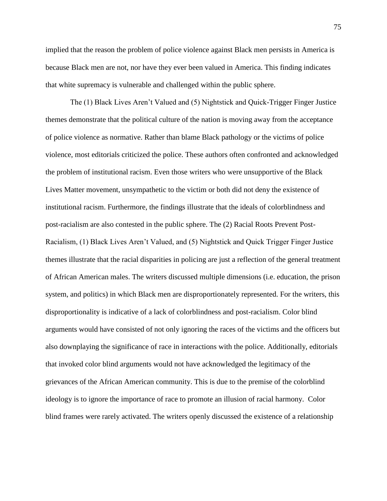implied that the reason the problem of police violence against Black men persists in America is because Black men are not, nor have they ever been valued in America. This finding indicates that white supremacy is vulnerable and challenged within the public sphere.

The (1) Black Lives Aren't Valued and (5) Nightstick and Quick-Trigger Finger Justice themes demonstrate that the political culture of the nation is moving away from the acceptance of police violence as normative. Rather than blame Black pathology or the victims of police violence, most editorials criticized the police. These authors often confronted and acknowledged the problem of institutional racism. Even those writers who were unsupportive of the Black Lives Matter movement, unsympathetic to the victim or both did not deny the existence of institutional racism. Furthermore, the findings illustrate that the ideals of colorblindness and post-racialism are also contested in the public sphere. The (2) Racial Roots Prevent Post-Racialism, (1) Black Lives Aren't Valued, and (5) Nightstick and Quick Trigger Finger Justice themes illustrate that the racial disparities in policing are just a reflection of the general treatment of African American males. The writers discussed multiple dimensions (i.e. education, the prison system, and politics) in which Black men are disproportionately represented. For the writers, this disproportionality is indicative of a lack of colorblindness and post-racialism. Color blind arguments would have consisted of not only ignoring the races of the victims and the officers but also downplaying the significance of race in interactions with the police. Additionally, editorials that invoked color blind arguments would not have acknowledged the legitimacy of the grievances of the African American community. This is due to the premise of the colorblind ideology is to ignore the importance of race to promote an illusion of racial harmony. Color blind frames were rarely activated. The writers openly discussed the existence of a relationship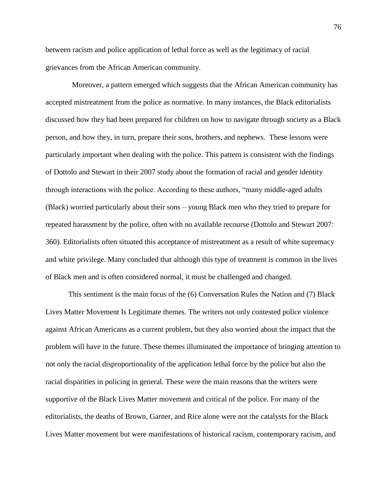between racism and police application of lethal force as well as the legitimacy of racial grievances from the African American community.

 Moreover, a pattern emerged which suggests that the African American community has accepted mistreatment from the police as normative. In many instances, the Black editorialists discussed how they had been prepared for children on how to navigate through society as a Black person, and how they, in turn, prepare their sons, brothers, and nephews. These lessons were particularly important when dealing with the police. This pattern is consistent with the findings of Dottolo and Stewart in their 2007 study about the formation of racial and gender identity through interactions with the police. According to these authors, "many middle-aged adults (Black) worried particularly about their sons – young Black men who they tried to prepare for repeated harassment by the police, often with no available recourse (Dottolo and Stewart 2007: 360). Editorialists often situated this acceptance of mistreatment as a result of white supremacy and white privilege. Many concluded that although this type of treatment is common in the lives of Black men and is often considered normal, it must be challenged and changed.

This sentiment is the main focus of the (6) Conversation Rules the Nation and (7) Black Lives Matter Movement Is Legitimate themes. The writers not only contested police violence against African Americans as a current problem, but they also worried about the impact that the problem will have in the future. These themes illuminated the importance of bringing attention to not only the racial disproportionality of the application lethal force by the police but also the racial disparities in policing in general. These were the main reasons that the writers were supportive of the Black Lives Matter movement and critical of the police. For many of the editorialists, the deaths of Brown, Garner, and Rice alone were not the catalysts for the Black Lives Matter movement but were manifestations of historical racism, contemporary racism, and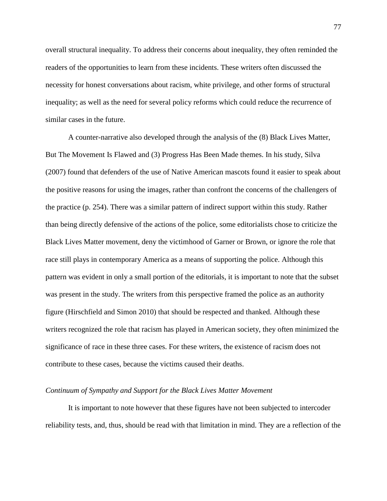overall structural inequality. To address their concerns about inequality, they often reminded the readers of the opportunities to learn from these incidents. These writers often discussed the necessity for honest conversations about racism, white privilege, and other forms of structural inequality; as well as the need for several policy reforms which could reduce the recurrence of similar cases in the future.

A counter-narrative also developed through the analysis of the (8) Black Lives Matter, But The Movement Is Flawed and (3) Progress Has Been Made themes. In his study, Silva (2007) found that defenders of the use of Native American mascots found it easier to speak about the positive reasons for using the images, rather than confront the concerns of the challengers of the practice (p. 254). There was a similar pattern of indirect support within this study. Rather than being directly defensive of the actions of the police, some editorialists chose to criticize the Black Lives Matter movement, deny the victimhood of Garner or Brown, or ignore the role that race still plays in contemporary America as a means of supporting the police. Although this pattern was evident in only a small portion of the editorials, it is important to note that the subset was present in the study. The writers from this perspective framed the police as an authority figure (Hirschfield and Simon 2010) that should be respected and thanked. Although these writers recognized the role that racism has played in American society, they often minimized the significance of race in these three cases. For these writers, the existence of racism does not contribute to these cases, because the victims caused their deaths.

#### *Continuum of Sympathy and Support for the Black Lives Matter Movement*

It is important to note however that these figures have not been subjected to intercoder reliability tests, and, thus, should be read with that limitation in mind. They are a reflection of the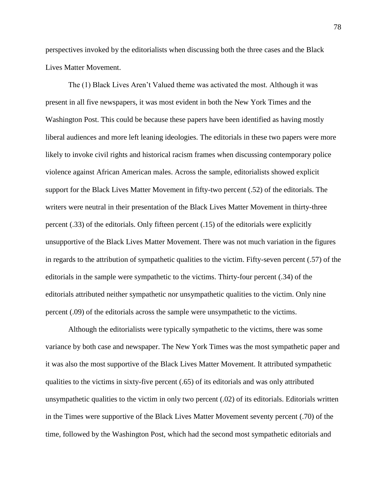perspectives invoked by the editorialists when discussing both the three cases and the Black Lives Matter Movement.

The (1) Black Lives Aren't Valued theme was activated the most. Although it was present in all five newspapers, it was most evident in both the New York Times and the Washington Post. This could be because these papers have been identified as having mostly liberal audiences and more left leaning ideologies. The editorials in these two papers were more likely to invoke civil rights and historical racism frames when discussing contemporary police violence against African American males. Across the sample, editorialists showed explicit support for the Black Lives Matter Movement in fifty-two percent (.52) of the editorials. The writers were neutral in their presentation of the Black Lives Matter Movement in thirty-three percent (.33) of the editorials. Only fifteen percent (.15) of the editorials were explicitly unsupportive of the Black Lives Matter Movement. There was not much variation in the figures in regards to the attribution of sympathetic qualities to the victim. Fifty-seven percent (.57) of the editorials in the sample were sympathetic to the victims. Thirty-four percent (.34) of the editorials attributed neither sympathetic nor unsympathetic qualities to the victim. Only nine percent (.09) of the editorials across the sample were unsympathetic to the victims.

Although the editorialists were typically sympathetic to the victims, there was some variance by both case and newspaper. The New York Times was the most sympathetic paper and it was also the most supportive of the Black Lives Matter Movement. It attributed sympathetic qualities to the victims in sixty-five percent (.65) of its editorials and was only attributed unsympathetic qualities to the victim in only two percent (.02) of its editorials. Editorials written in the Times were supportive of the Black Lives Matter Movement seventy percent (.70) of the time, followed by the Washington Post, which had the second most sympathetic editorials and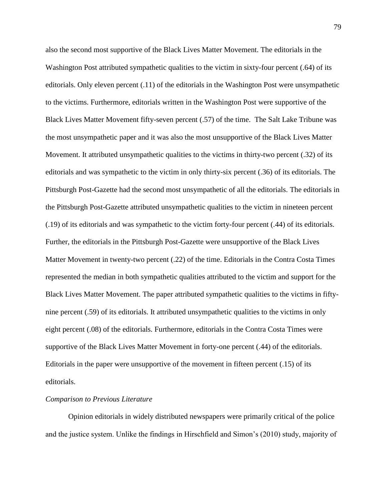also the second most supportive of the Black Lives Matter Movement. The editorials in the Washington Post attributed sympathetic qualities to the victim in sixty-four percent (.64) of its editorials. Only eleven percent (.11) of the editorials in the Washington Post were unsympathetic to the victims. Furthermore, editorials written in the Washington Post were supportive of the Black Lives Matter Movement fifty-seven percent (.57) of the time. The Salt Lake Tribune was the most unsympathetic paper and it was also the most unsupportive of the Black Lives Matter Movement. It attributed unsympathetic qualities to the victims in thirty-two percent (.32) of its editorials and was sympathetic to the victim in only thirty-six percent (.36) of its editorials. The Pittsburgh Post-Gazette had the second most unsympathetic of all the editorials. The editorials in the Pittsburgh Post-Gazette attributed unsympathetic qualities to the victim in nineteen percent (.19) of its editorials and was sympathetic to the victim forty-four percent (.44) of its editorials. Further, the editorials in the Pittsburgh Post-Gazette were unsupportive of the Black Lives Matter Movement in twenty-two percent (.22) of the time. Editorials in the Contra Costa Times represented the median in both sympathetic qualities attributed to the victim and support for the Black Lives Matter Movement. The paper attributed sympathetic qualities to the victims in fiftynine percent (.59) of its editorials. It attributed unsympathetic qualities to the victims in only eight percent (.08) of the editorials. Furthermore, editorials in the Contra Costa Times were supportive of the Black Lives Matter Movement in forty-one percent (.44) of the editorials. Editorials in the paper were unsupportive of the movement in fifteen percent (.15) of its editorials.

## *Comparison to Previous Literature*

Opinion editorials in widely distributed newspapers were primarily critical of the police and the justice system. Unlike the findings in Hirschfield and Simon's (2010) study, majority of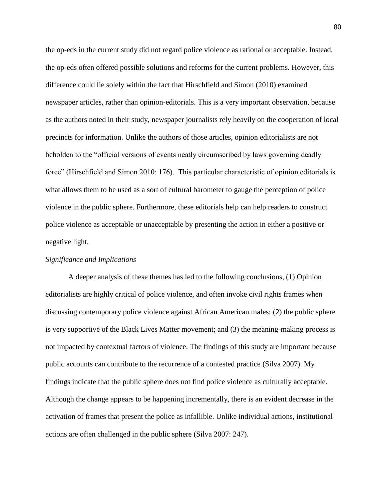the op-eds in the current study did not regard police violence as rational or acceptable. Instead, the op-eds often offered possible solutions and reforms for the current problems. However, this difference could lie solely within the fact that Hirschfield and Simon (2010) examined newspaper articles, rather than opinion-editorials. This is a very important observation, because as the authors noted in their study, newspaper journalists rely heavily on the cooperation of local precincts for information. Unlike the authors of those articles, opinion editorialists are not beholden to the "official versions of events neatly circumscribed by laws governing deadly force" (Hirschfield and Simon 2010: 176). This particular characteristic of opinion editorials is what allows them to be used as a sort of cultural barometer to gauge the perception of police violence in the public sphere. Furthermore, these editorials help can help readers to construct police violence as acceptable or unacceptable by presenting the action in either a positive or negative light.

## *Significance and Implications*

A deeper analysis of these themes has led to the following conclusions, (1) Opinion editorialists are highly critical of police violence, and often invoke civil rights frames when discussing contemporary police violence against African American males; (2) the public sphere is very supportive of the Black Lives Matter movement; and (3) the meaning-making process is not impacted by contextual factors of violence. The findings of this study are important because public accounts can contribute to the recurrence of a contested practice (Silva 2007). My findings indicate that the public sphere does not find police violence as culturally acceptable. Although the change appears to be happening incrementally, there is an evident decrease in the activation of frames that present the police as infallible. Unlike individual actions, institutional actions are often challenged in the public sphere (Silva 2007: 247).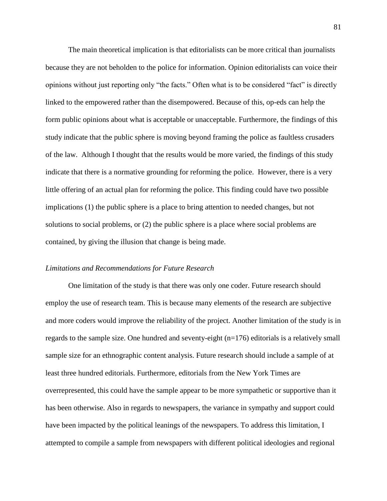The main theoretical implication is that editorialists can be more critical than journalists because they are not beholden to the police for information. Opinion editorialists can voice their opinions without just reporting only "the facts." Often what is to be considered "fact" is directly linked to the empowered rather than the disempowered. Because of this, op-eds can help the form public opinions about what is acceptable or unacceptable. Furthermore, the findings of this study indicate that the public sphere is moving beyond framing the police as faultless crusaders of the law. Although I thought that the results would be more varied, the findings of this study indicate that there is a normative grounding for reforming the police. However, there is a very little offering of an actual plan for reforming the police. This finding could have two possible implications (1) the public sphere is a place to bring attention to needed changes, but not solutions to social problems, or (2) the public sphere is a place where social problems are contained, by giving the illusion that change is being made.

#### *Limitations and Recommendations for Future Research*

One limitation of the study is that there was only one coder. Future research should employ the use of research team. This is because many elements of the research are subjective and more coders would improve the reliability of the project. Another limitation of the study is in regards to the sample size. One hundred and seventy-eight (n=176) editorials is a relatively small sample size for an ethnographic content analysis. Future research should include a sample of at least three hundred editorials. Furthermore, editorials from the New York Times are overrepresented, this could have the sample appear to be more sympathetic or supportive than it has been otherwise. Also in regards to newspapers, the variance in sympathy and support could have been impacted by the political leanings of the newspapers. To address this limitation, I attempted to compile a sample from newspapers with different political ideologies and regional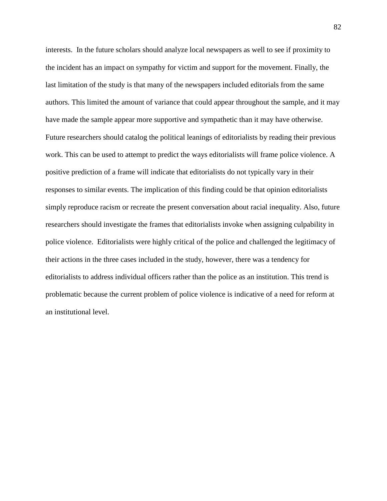interests. In the future scholars should analyze local newspapers as well to see if proximity to the incident has an impact on sympathy for victim and support for the movement. Finally, the last limitation of the study is that many of the newspapers included editorials from the same authors. This limited the amount of variance that could appear throughout the sample, and it may have made the sample appear more supportive and sympathetic than it may have otherwise. Future researchers should catalog the political leanings of editorialists by reading their previous work. This can be used to attempt to predict the ways editorialists will frame police violence. A positive prediction of a frame will indicate that editorialists do not typically vary in their responses to similar events. The implication of this finding could be that opinion editorialists simply reproduce racism or recreate the present conversation about racial inequality. Also, future researchers should investigate the frames that editorialists invoke when assigning culpability in police violence. Editorialists were highly critical of the police and challenged the legitimacy of their actions in the three cases included in the study, however, there was a tendency for editorialists to address individual officers rather than the police as an institution. This trend is problematic because the current problem of police violence is indicative of a need for reform at an institutional level.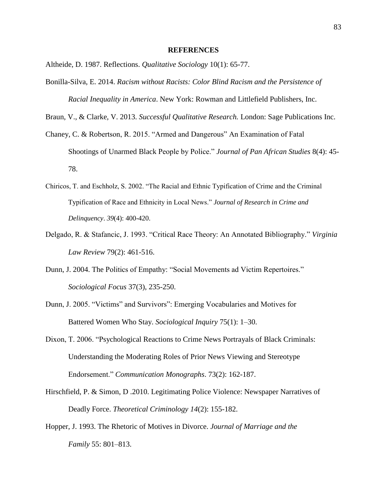#### **REFERENCES**

Altheide, D. 1987. Reflections. *Qualitative Sociology* 10(1): 65-77.

Bonilla-Silva, E. 2014. *Racism without Racists: Color Blind Racism and the Persistence of Racial Inequality in America*. New York: Rowman and Littlefield Publishers, Inc.

Braun, V., & Clarke, V. 2013. *Successful Qualitative Research.* London: Sage Publications Inc.

- Chaney, C. & Robertson, R. 2015. "Armed and Dangerous" An Examination of Fatal Shootings of Unarmed Black People by Police." *Journal of Pan African Studies* 8(4): 45- 78.
- Chiricos, T. and Eschholz, S. 2002. "The Racial and Ethnic Typification of Crime and the Criminal Typification of Race and Ethnicity in Local News." *Journal of Research in Crime and Delinquency*. *39*(4): 400-420.
- Delgado, R. & Stafancic, J. 1993. "Critical Race Theory: An Annotated Bibliography." *Virginia Law Review* 79(2): 461-516.
- Dunn, J. 2004. The Politics of Empathy: "Social Movements ad Victim Repertoires." *Sociological Focus* 37(3), 235-250.
- Dunn, J. 2005. "Victims" and Survivors": Emerging Vocabularies and Motives for Battered Women Who Stay. *Sociological Inquiry* 75(1): 1–30.
- Dixon, T. 2006. "Psychological Reactions to Crime News Portrayals of Black Criminals: Understanding the Moderating Roles of Prior News Viewing and Stereotype Endorsement." *Communication Monographs*. 73(2): 162-187.
- Hirschfield, P. & Simon, D .2010. Legitimating Police Violence: Newspaper Narratives of Deadly Force. *Theoretical Criminology 14*(2): 155-182.
- Hopper, J. 1993. The Rhetoric of Motives in Divorce. *Journal of Marriage and the Family* 55: 801–813.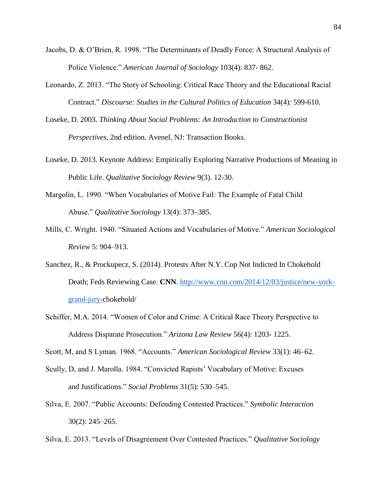- Jacobs, D. & O'Brien, R. 1998. "The Determinants of Deadly Force: A Structural Analysis of Police Violence." *American Journal of Sociology* 103(4): 837- 862.
- Leonardo, Z. 2013. "The Story of Schooling: Critical Race Theory and the Educational Racial Contract." *Discourse: Studies in the Cultural Politics of Education* 34(4): 599-610.
- Loseke, D. 2003. *Thinking About Social Problems: An Introduction to Constructionist Perspectives*, 2nd edition. Avenel, NJ: Transaction Books.
- Loseke, D. 2013. Keynote Address: Empirically Exploring Narrative Productions of Meaning in Public Life. *Qualitative Sociology Review* 9(3). 12-30.
- Margolin, L. 1990. "When Vocabularies of Motive Fail: The Example of Fatal Child Abuse." *Qualitative Sociology* 13(4): 373–385.
- Mills, C. Wright. 1940. "Situated Actions and Vocabularies of Motive." *American Sociological Review* 5: 904–913.
- Sanchez, R., & Prockupecz, S. (2014). Protests After N.Y. Cop Not Indicted In Chokehold Death; Feds Reviewing Case. **CNN**. [http://www.cnn.com/2014/12/03/justice/new-york](http://www.cnn.com/2014/12/03/justice/new-york-grand-jury-)[grand-jury-c](http://www.cnn.com/2014/12/03/justice/new-york-grand-jury-)hokehold/
- Schiffer, M.A. 2014. "Women of Color and Crime: A Critical Race Theory Perspective to Address Disparate Prosecution." *Arizona Law Review* 56(4): 1203- 1225.
- Scott, M, and S Lyman. 1968. "Accounts." *American Sociological Review* 33(1): 46–62.
- Scully, D, and J. Marolla. 1984. "Convicted Rapists' Vocabulary of Motive: Excuses and Justifications." *Social Problems* 31(5): 530–545.
- Silva, E. 2007. "Public Accounts: Defending Contested Practices." *Symbolic Interaction* 30(2): 245–265.
- Silva, E. 2013. "Levels of Disagreement Over Contested Practices." *Qualitative Sociology*